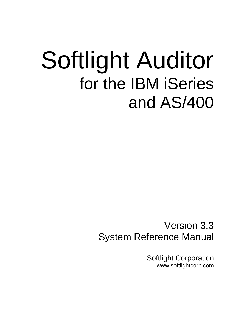# Softlight Auditor for the IBM iSeries and AS/400

Version 3.3 System Reference Manual

> Softlight Corporation www.softlightcorp.com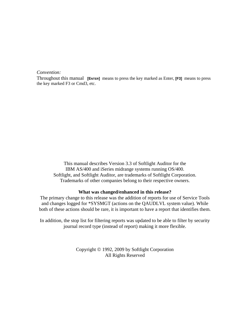#### *Convention:*

Throughout this manual **[ENTER]** means to press the key marked as Enter, **[F3]** means to press the key marked F3 or Cmd3, etc.

This manual describes Version 3.3 of Softlight Auditor for the IBM AS/400 and iSeries midrange systems running OS/400. Softlight, and Softlight Auditor, are trademarks of Softlight Corporation. Trademarks of other companies belong to their respective owners.

#### **What was changed/enhanced in this release?**

The primary change to this release was the addition of reports for use of Service Tools and changes logged for \*SYSMGT (actions on the QAUDLVL system value). While both of these actions should be rare, it is important to have a report that identifies them.

In addition, the stop list for filtering reports was updated to be able to filter by security journal record type (instead of report) making it more flexible.

> Copyright © 1992, 2009 by Softlight Corporation All Rights Reserved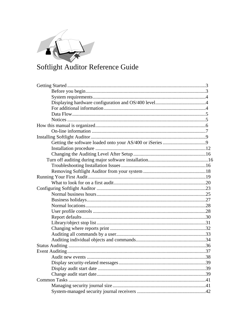

## Softlight Auditor Reference Guide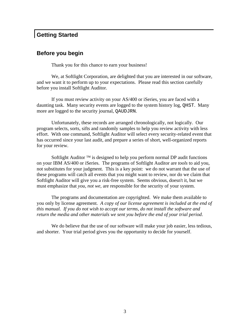## **Getting Started**

## **Before you begin**

Thank you for this chance to earn your business!

 We, at Softlight Corporation, are delighted that you are interested in our software, and we want it to perform up to your expectations. Please read this section carefully before you install Softlight Auditor.

 If you must review activity on your AS/400 or iSeries, you are faced with a daunting task. Many security events are logged to the system history log, QHST. Many more are logged to the security journal, QAUDJRN.

 Unfortunately, these records are arranged chronologically, not logically. Our program selects, sorts, sifts and randomly samples to help you review activity with less effort. With one command, Softlight Auditor will select every security-related event that has occurred since your last audit, and prepare a series of short, well-organized reports for your review.

Softlight Auditor  $TM$  is designed to help you perform normal DP audit functions on your IBM AS/400 or iSeries. The programs of Softlight Auditor are *tools* to aid you, not substitutes for your judgment. This is a key point: we do not warrant that the use of these programs will catch all events that you might want to review, nor do we claim that Softlight Auditor will give you a risk-free system. Seems obvious, doesn't it, but we must emphasize that *you, not we,* are responsible for the security of your system.

 The programs and documentation are copyrighted. We make them available to you only by license agreement. *A copy of our license agreement is included at the end of this manual. If you do not wish to accept our terms, do not install the software and return the media and other materials we sent you before the end of your trial period*.

We do believe that the use of our software will make your job easier, less tedious, and shorter. Your trial period gives you the opportunity to decide for yourself.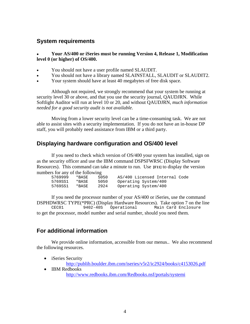## **System requirements**

• **Your AS/400 or iSeries must be running Version 4, Release 1, Modification level 0 (or higher) of OS/400.**

- You should not have a user profile named SLAUDIT.
- You should not have a library named SLAINSTALL, SLAUDIT or SLAUDIT2.
- Your system should have at least 40 megabytes of free disk space.

 Although not required, we strongly recommend that your system be running at security level 30 or above, and that you use the security journal, OAUDJRN. While Softlight Auditor will run at level 10 or 20, and without QAUDJRN, *much information needed for a good security audit is not available.*

 Moving from a lower security level can be a time-consuming task. We are not able to assist sites with a security implementation. If you do not have an in-house DP staff, you will probably need assistance from IBM or a third party.

## **Displaying hardware configuration and OS/400 level**

 If you need to check which version of OS/400 your system has installed, sign on as the security officer and use the IBM command DSPSFWRSC (Display Software Resources). This command can take a minute to run. Use **[F11]** to display the version numbers for any of the following

| 5769999 | *BASE | 5050 | AS/400 Licensed Internal Code |
|---------|-------|------|-------------------------------|
| 5769SS1 | *BASE | 5050 | Operating System/400          |
| 5769SS1 | *BASE | 2924 | Operating System/400          |

 If you need the processor number of your AS/400 or iSeries, use the command DSPHDWRSC TYPE(\*PRC) (Display Hardware Resources). Take option 7 on the line<br>CEC01 9402-405 Operational Main Card Enclosure CEC01 9402-40S Operational Main Card Enclosure to get the processor, model number and serial number, should you need them.

## **For additional information**

 We provide online information, accessible from our menus.. We also recommend the following resources.

- iSeries Security http://publib.boulder.ibm.com/iseries/v5r2/ic2924/books/c4153026.pdf
- IBM Redbooks http://www.redbooks.ibm.com/Redbooks.nsf/portals/systemi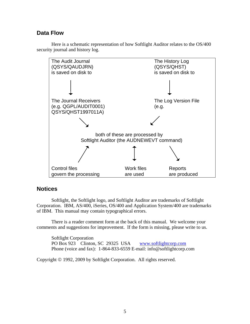## **Data Flow**





## **Notices**

 Softlight, the Softlight logo, and Softlight Auditor are trademarks of Softlight Corporation. IBM, AS/400, iSeries, OS/400 and Application System/400 are trademarks of IBM. This manual may contain typographical errors.

 There is a reader comment form at the back of this manual. We welcome your comments and suggestions for improvement. If the form is missing, please write to us.

Softlight Corporation PO Box 923 Clinton, SC 29325 USA www.softlightcorp.com Phone (voice and fax): 1-864-833-6559 E-mail: info@softlightcorp.com

Copyright © 1992, 2009 by Softlight Corporation. All rights reserved.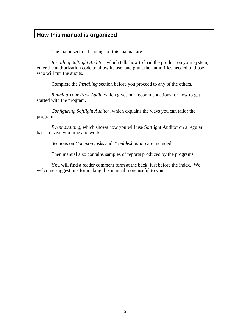## **How this manual is organized**

The major section headings of this manual are

*Installing Softlight Auditor*, which tells how to load the product on your system, enter the authorization code to allow its use, and grant the authorities needed to those who will run the audits.

Complete the *Installing* section before you proceed to any of the others.

*Running Your First Audit,* which gives our recommendations for how to get started with the program.

*Configuring Softlight Auditor*, which explains the ways you can tailor the program.

*Event auditing*, which shows how you will use Softlight Auditor on a regular basis to save you time and work.

Sections on *Common tasks* and *Troubleshooting* are included.

Then manual also contains samples of reports produced by the programs.

 You will find a reader comment form at the back, just before the index. We welcome suggestions for making this manual more useful to you.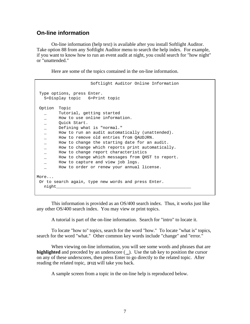## **On-line information**

 On-line information (help text) is available after you install Softlight Auditor. Take option 88 from any Softlight Auditor menu to search the help index. For example, if you want to know how to run an event audit at night, you could search for "how night" or "unattended."

Here are some of the topics contained in the on-line information.

```
 Softlight Auditor Online Information 
 Type options, press Enter. 
   5=Display topic 6=Print topic 
 Option Topic 
        Tutorial, getting started
   _ How to use online information. 
 _ Quick Start. 
 _ Defining what is "normal." 
       How to run an audit automatically (unattended).
   _ How to remove old entries from QAUDJRN. 
   _ How to change the starting date for an audit. 
       How to change which reports print automatically.
       How to change report characteristics
   _ How to change which messages from QHST to report. 
   _ How to capture and view job logs. 
        How to order or renew your annual license.
More... 
 Or to search again, type new words and press Enter. 
 night_______________________________________________________
```
 This information is provided as an OS/400 search index. Thus, it works just like any other OS/400 search index. You may view or print topics.

A tutorial is part of the on-line information. Search for "intro" to locate it.

 To locate "how to" topics, search for the word "how." To locate "what is" topics, search for the word "what." Other common key words include "change" and "error."

 When viewing on-line information, you will see some words and phrases that are **highlighted** and preceded by an underscore ( \_). Use the tab key to position the cursor on any of these underscores, then press Enter to go directly to the related topic. After reading the related topic, **[F12]** will take you back.

A sample screen from a topic in the on-line help is reproduced below.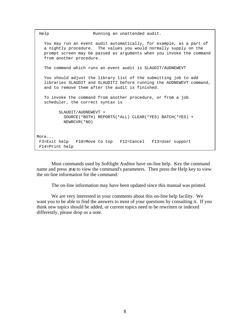```
Help Running an unattended audit.
   You may run an event audit automatically, for example, as a part of 
   a nightly procedure. The values you would normally supply on the 
   prompt screen may be passed as arguments when you invoke the command 
   from another procedure. 
   The command which runs an event audit is SLAUDIT/AUDNEWEVT 
   You should adjust the library list of the submitting job to add 
   libraries SLAUDIT and SLAUDIT2 before running the AUDNEWEVT command, 
    and to remove them after the audit is finished. 
   To invoke the command from another procedure, or from a job 
    scheduler, the correct syntax is 
          SLAUDIT/AUDNEWEVT + 
            SOURCE(*BOTH) REPORTS(*ALL) CLEAR(*YES) BATCH(*YES) + 
           NEWRCVR(*NO) 
More... 
 F3=Exit help F10=Move to top F12=Cancel F13=User support 
 F14=Print help
```
 Most commands used by Softlight Auditor have on-line help. Key the command name and press **[F4]** to view the command's parameters. Then press the Help key to view the on-line information for the command.

The on-line information may have been updated since this manual was printed.

 We are very interested in your comments about this on-line help facility. We want you to be able to find the answers to most of your questions by consulting it. If you think new topics should be added, or current topics need to be rewritten or indexed differently, please drop us a note.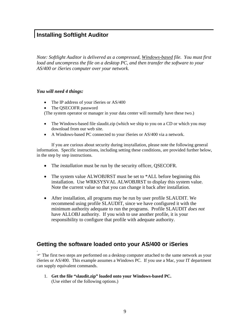## **Installing Softlight Auditor**

*Note: Softlight Auditor is delivered as a compressed, Windows-based file. You must first load and uncompress the file on a desktop PC, and then transfer the software to your AS/400 or iSeries computer over your network.* 

#### *You will need 4 things:*

.

- The IP address of your iSeries or AS/400
- The OSECOFR password

(The system operator or manager in your data center will normally have these two.)

- The Windows-based file slaudit.zip (which we ship to you on a CD or which you may download from our web site.
- A Windows-based PC connected to your iSeries or AS/400 via a network.

If you are curious about security during insytallation, please note the following general information. Specific instructions, including setting these conditions, are provided further below, in the step by step instructions.

- The *installation* must be run by the security officer, QSECOFR.
- The system value ALWOBJRST must be set to \*ALL before beginning this installation. Use WRKSYSVAL ALWOBJRST to display this system value. Note the current value so that you can change it back after installation.
- After installation, all programs may be run by user profile SLAUDIT. We recommend using profile SLAUDIT, since we have configured it with the minimum authority adequate to run the programs. Profile SLAUDIT *does not* have ALLOBJ authority. If you wish to use another profile, it is your responsibility to configure that profile with adequate authority.

## **Getting the software loaded onto your AS/400 or iSeries**

 $\mathcal F$  The first two steps are performed on a desktop computer attached to the same network as your iSeries or AS/400. This example assumes a Windows PC. If you use a Mac, your IT department can supply equivalent commands.

1. **Get the file "slaudit.zip" loaded onto your Windows-based PC.** (Use either of the following options.)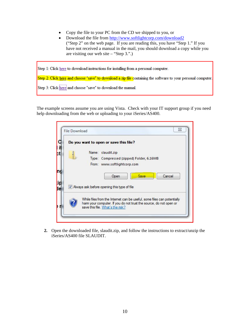- Copy the file to your PC from the CD we shipped to you, or
- Download the file from http://www.softlightcorp.com/download2 ("Step 2" on the web page. If you are reading this, you have "Step 1." If you have not received a manual in the mail, you should download a copy while you are visiting our web site – "Step 3.".)

| Step 1: Click here to download instructions for installing from a personal computer.                           |
|----------------------------------------------------------------------------------------------------------------|
| Step 2: Click here and choose "save" to download a zip file containing the software to your personal computer. |
| Step 3: Click here and choose "save" to download the manual.                                                   |

The example screens assume you are using Vista. Check with your IT support group if you need help downloading from the web or uploading to your iSeries/AS400.

|  | Do you want to open or save this file?                                                                                                                                            |
|--|-----------------------------------------------------------------------------------------------------------------------------------------------------------------------------------|
|  | Name: slaudit.zip                                                                                                                                                                 |
|  | Type: Compressed (zipped) Folder, 6.16MB                                                                                                                                          |
|  | From: www.softlightcorp.com                                                                                                                                                       |
|  | Cancel<br>Save<br>Open                                                                                                                                                            |
|  | V Always ask before opening this type of file                                                                                                                                     |
|  | While files from the Internet can be useful, some files can potentially<br>harm your computer. If you do not trust the source, do not open or<br>save this file. What's the risk? |

**2.** Open the downloaded file, slaudit.zip, and follow the instructions to extract/unzip the iSeries/AS400 file SLAUDIT.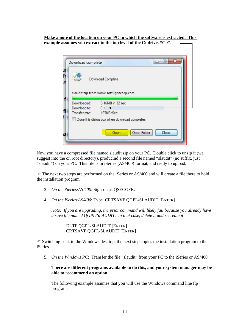**Make a note of the location on your PC to which the software is extracted. This**  example assumes you extract to the top level of the C: drive, "C:\".

| Download Complete<br>slaudit.zip from www.softlightcorp.com<br>Downloaded:<br>6.16MB in 32 sec<br>Download to: $C \setminus$ |  |
|------------------------------------------------------------------------------------------------------------------------------|--|
|                                                                                                                              |  |
|                                                                                                                              |  |
|                                                                                                                              |  |
|                                                                                                                              |  |
| Transfer rate: 197KB/Sec                                                                                                     |  |
| Close this dialog box when download completes                                                                                |  |

Now you have a compressed file named slaudit.zip on your PC. Double click to unzip it (we suggest into the c:\ root directory), producind a second file named "slaudit" (no suffix, just "slaudit") on your PC. This file is in iSeries (AS/400) format, and ready to upload.

) The next two steps are performed on the iSeries or AS/400 and will create a file there to hold the installation program.

- 3. *On the iSeries/AS/400*: Sign-on as QSECOFR.
- 4. *On the iSeries/AS/400*: Type CRTSAVF QGPL/SLAUDIT [ENTER]

*Note: If you are upgrading, the prior command will likely fail because you already have a save file named QGPL/SLAUDIT. In that case, delete it and recreate it:*

 DLTF QGPL/SLAUDIT [ENTER] CRTSAVF QGPL/SLAUDIT [ENTER]

 $\mathcal F$  Switching back to the Windows desktop, the next step copies the installation program to the iSeries.

5. *On the Windows PC*: Transfer the file "slaudit" from your PC to the iSeries or AS/400.

**There are different programs available to do this, and your system manager may be able to recommend an option.** 

The following example assumes that you will use the Windows command line ftp program.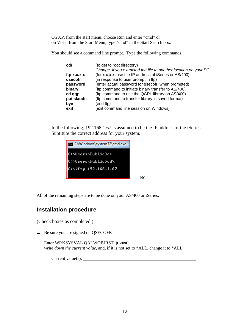On XP, from the start menu, choose Run and enter "cmd" or on Vista, from the Start Menu, type "cmd" in the Start Search box.

You should see a command line prompt. Type the following commands.

| cd\              | (to get to root directory)                                        |
|------------------|-------------------------------------------------------------------|
|                  | Change, if you extracted the file to another location on your PC. |
| $ftp \, x.x.x.x$ | (for x.x.x.x, use the IP address of iSeries or AS/400)            |
| qsecofr          | (in response to user prompt in ftp)                               |
| password         | (enter actual password for qsecofr, when prompted)                |
| binary           | (ftp command to initiate binary transfer to AS/400)               |
| cd qgpl          | (ftp command to use the QGPL library on AS/400)                   |
| put slaudit      | (ftp command to transfer library in saved format)                 |
| bye              | (end ftp)                                                         |
| exit             | (exit command line session on Windows)                            |

In the following, 192.168.1.67 is assumed to be the IP address of the iSeries. Subtitute the correct address for your system.



All of the remaining steps are to be done on your AS/400 or iSeries.

## **Installation procedure**

(Check boxes as completed.)

- $\Box$  Be sure you are signed on QSECOFR
- Enter WRKSYSVAL QALWOBJRST **[ENTER]** *write down the current value*, and, if it is not set to \*ALL, change it to \*ALL

Current value(s): \_\_\_\_\_\_\_\_\_\_\_\_\_\_\_\_\_\_\_\_\_\_\_\_\_\_\_\_\_\_\_\_\_\_\_\_\_\_\_\_\_\_\_\_\_\_\_\_\_\_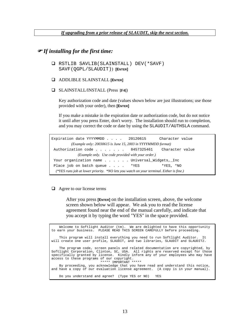*If upgrading from a prior release of SLAUDIT, skip the next section.*

#### ) *If installing for the first time:*

- RSTLIB SAVLIB(SLAINSTALL) DEV(\*SAVF) SAVF(QGPL/SLAUDIT)) **[ENTER]**
- ADDLIBLE SLAINSTALL **[ENTER]**
- SLAINSTALL/INSTALL (Press **[F4]**)

Key authorization code and date (values shown below are just illustrations; use those provided with your order), then **[ENTER]** 

If you make a mistake in the expiration date or authorization code, but do not notice it until after you press Enter, don't worry. The installation should run to completion, and you may correct the code or date by using the SLAUDIT/AUTHSLA command.

Expiration date YYYYMMDD . . . . 20120615 Character value *(Example only: 20030615 is June 15, 2003 in YYYYMMDD format)* Authorization code . . . . . . 8457325461 Character value *(Example only. Use code provided with your order.)* Your organization name . . . . . Universal\_Widgets,\_Inc Place job on batch queue . . . . \* YES \*YES, \*NO *(\*YES runs job at lower priority. \*NO lets you watch on your terminal. Either is fine.)*

 $\Box$  Agree to our license terms

After you press **[ENTER]** on the installation screen, above, the welcome screen shown below will appear. We ask you to read the license agreement found near the end of the manual carefully, and indicate that you accept it by typing the word "YES" in the space provided.

 Welcome to Softlight Auditor (tm). We are delighted to have this opportunity to earn your business. PLEASE READ THIS SCREEN CAREFULLY before proceeding. This program will install everything you need to run Softlight Auditor. will create one user profile, SLAUDIT, and two libraries, SLAUDIT and SLAUDIT2. The program code, screen panels and related documentation are copyrighted, by Softlight Corporation, Clinton, SC, USA. All rights are reserved except for those specifically granted by license. Kindly inform any of your employees who may have access to these programs of our copyright. \*\*\*\*\* IMPORTANT \*\*\*\*\* By proceeding, you acknowledge that you have read and understand this notice, and have a copy of our evaluation license agreement. (A copy is in your manual). Do you understand and agree? (Type YES or NO) YES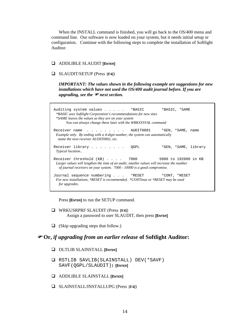When the INSTALL command is finished, you will go back to the OS/400 menu and command line. Our software is now loaded on your system, but it needs initial setup or configuration. Continue with the following steps to complete the installation of Softlight Auditor.

#### ADDLIBLE SLAUDIT **[ENTER]**

#### SLAUDIT/SETUP (Press **[F4]**)

*IMPORTANT: The values shown in the following example are suggestions for new installations which have not used the OS/400 audit journal before. If you are upgrading, see the* ) *next section.*

Auditing system values . . . . . \* BASIC \* \* BASIC, \* SAME  *\*BASIC uses Softlight Corporation's recommendations for new sites \*SAME leaves the values as they are on your system You can always change these later with the WRKSYSVAL command*  Receiver name . . . . . . . . AUDIT0001 \*GEN, \*SAME, name  *Example only. By ending with a 4-digit number, the system can automatically name the next receiver AUDIT0002, etc.*  Receiver library . . . . . . . . QGPL \*GEN, \*SAME, library *Typical location..*  Receiver threshold (KB) . . . . 7000 5000 to 192000 in KB  *Larger values will lengthen the time of an audit; smaller values will increase the number of journal receivers on your system. 7000 - 10000 is a good compromise.*  Journal sequence numbering . . . \*RESET \*CONT, \*RESET  *For new installations, \*RESET is recommended. \*CONTinue or \*RESET may be used for upgrades.* 

Press **[ENTER]** to run the SETUP command.

- WRKUSRPRF SLAUDIT (Press **[F4]**) Assign a password to user SLAUDIT, then press **[ENTER]**
- $\Box$  (Skip upgrading steps that follow.)

## ) **Or,** *if upgrading from an earlier release* **of Softlight Auditor:**

- DLTLIB SLAINSTALL **[ENTER]**
- RSTLIB SAVLIB(SLAINSTALL) DEV(\*SAVF) SAVF(QGPL/SLAUDIT)) **[ENTER]**
- ADDLIBLE SLAINSTALL **[ENTER]**
- SLAINSTALL/INSTALLUPG (Press **[F4]**)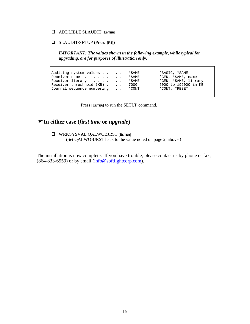#### ADDLIBLE SLAUDIT **[ENTER]**

SLAUDIT/SETUP (Press **[F4]**)

*IMPORTANT: The values shown in the following example, while typical for upgrading, are for purposes of illustration only.* 

Auditing system values . . . . . \*SAME \*BASIC, \*SAME<br>
Receiver name . . . . . . . . . \*SAME \*GEN, \*SAME, name<br>
Receiver library . . . . . . . . \*SAME \*GEN, \*SAME, library Receiver name . . . . . . . . . \*SAME Receiver library . . . . . . . . \*SAME \*GEN, \*SAME, library<br>Receiver threshhold (KB) . . . . 7000 5000 to 192000 in KB Receiver threshhold (KB) . . . . 7000 5000 to 192000<br>Journal sequence numbering . . . \*CONT \*CONT, \*RESET Journal sequence numbering . . .

Press [ENTER] to run the SETUP command.

## ) **In either case (***first time* **or** *upgrade***)**

#### WRKSYSVAL QALWOBJRST **[ENTER]**

(Set QALWOBJRST back to the value noted on page 2, above.)

The installation is now complete. If you have trouble, please contact us by phone or fax,  $(864-833-6559)$  or by email  $(info@softlightcorp.com)$ .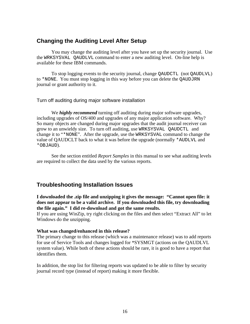## **Changing the Auditing Level After Setup**

 You may change the auditing level after you have set up the security journal. Use the WRKSYSVAL QAUDLVL command to enter a new auditing level. On-line help is available for these IBM commands.

 To stop logging events to the security journal, change QAUDCTL (not QAUDLVL) to \*NONE. You must stop logging in this way before you can delete the QAUDJRN journal or grant authority to it.

#### Turn off auditing during major software installation

We *highly recommend* turning off auditing during major software upgrades, including upgrades of OS/400 and upgrades of any major application software. Why? So many objects are changed during major upgrades that the audit journal receiver can grow to an unwieldy size. To turn off auditing, use WRKSYSVAL QAUDCTL and change it to "\*NONE". After the upgrade, use the WRKSYSVAL command to change the value of QAUDCLT back to what it was before the upgrade (normally \*AUDLVL and \*OBJAUD).

 See the section entitled *Report Samples* in this manual to see what auditing levels are required to collect the data used by the various reports.

## **Troubleshooting Installation Issues**

**I downloaded the .zip file and unzipping it gives the message: "Cannot open file: it does not appear to be a valid archive. If you downloaded this file, try downloading the file again." I did re-download and got the same results.** 

If you are using WinZip, try right clicking on the files and then select "Extract All" to let Windows do the unzipping.

#### **What was changed/enhanced in this release?**

The primary change to this release (which was a maintenance release) was to add reports for use of Service Tools and changes logged for \*SYSMGT (actions on the QAUDLVL system value). While both of these actions should be rare, it is good to have a report that identifies them.

In addition, the stop list for filtering reports was updated to be able to filter by security journal record type (instead of report) making it more flexible.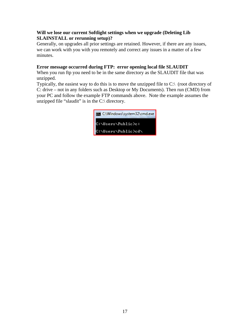## **Will we lose our current Softlight settings when we upgrade (Deleting Lib SLAINSTALL or rerunning setup)?**

Generally, on upgrades all prior settings are retained. However, if there are any issues, we can work with you with you remotely and correct any issues in a matter of a few minutes.

## **Error message occurred during FTP: error opening local file SLAUDIT**

When you run ftp you need to be in the same directory as the SLAUDIT file that was unzipped.

Typically, the easiest way to do this is to move the unzipped file to C:\ (root directory of C: drive – not in any folders such as Desktop or My Documents). Then run (CMD) from your PC and follow the example FTP commands above. Note the example assumes the unzipped file "slaudit" is in the  $C$ : directory.

| C:\Windows\system32\cmd.exe |
|-----------------------------|
| C:\Users\Public>c:          |
| C:\Users\Public>cd\         |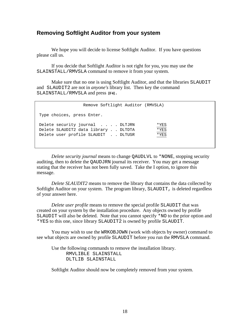## **Removing Softlight Auditor from your system**

We hope you will decide to license Softlight Auditor. If you have questions please call us.

 If you decide that Softlight Auditor is not right for you, you may use the SLAINSTALL/RMVSLA command to remove it from your system.

 Make sure that no one is using Softlight Auditor, and that the libraries SLAUDIT and SLAUDIT2 are not in *anyone's* library list. Then key the command SLAINSTALL/RMVSLA and press **[F4]**.

| Type choices, press Enter.                                                                                                               |  |
|------------------------------------------------------------------------------------------------------------------------------------------|--|
| Delete security journal DLTJRN<br>*YES<br>*YES<br>Delete SLAUDIT2 data library DLTDTA<br>Delete user profile SLAUDIT DLTUSR<br>$*$ $YES$ |  |

*Delete security journal* means to change QAUDLVL to \*NONE, stopping security auditing, then to delete the QAUDJRN journal its receiver. You may get a message stating that the receiver has not been fully saved. Take the I option, to ignore this message.

*Delete SLAUDIT2* means to remove the library that contains the data collected by Softlight Auditor on your system. The program library, SLAUDIT, is deleted regardless of your answer here.

*Delete user profile* means to remove the special profile SLAUDIT that was created on your system by the installation procedure. Any objects owned by profile SLAUDIT will also be deleted. Note that you cannot specify \*NO to the prior option and \*YES to this one, since library SLAUDIT2 is owned by profile SLAUDIT.

 You may wish to use the WRKOBJOWN (work with objects by owner) command to see what objects are owned by profile SLAUDIT before you run the RMVSLA command.

 Use the following commands to remove the installation library. RMVLIBLE SLAINSTALL DLTLIB SLAINSTALL

Softlight Auditor should now be completely removed from your system.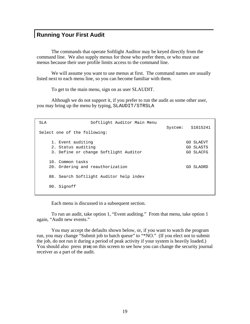## **Running Your First Audit**

 The commands that operate Softlight Auditor may be keyed directly from the command line. We also supply menus for those who prefer them, or who must use menus because their user profile limits access to the command line.

 We will assume you want to use menus at first. The command names are usually listed next to each menu line, so you can become familiar with them.

To get to the main menu, sign on as user SLAUDIT.

 Although we do not support it, if you prefer to run the audit as some other user, you may bring up the menu by typing, SLAUDIT/STRSLA

| SLA                          | Softlight Auditor Main Menu             | System: S1015241 |
|------------------------------|-----------------------------------------|------------------|
| Select one of the following: |                                         |                  |
| 1. Event auditing            |                                         | GO SLAEVT        |
| 2. Status auditing           |                                         | GO SLASTS        |
|                              | 3. Define or change Softlight Auditor   | GO SLACFG        |
| 10. Common tasks             | 20. Ordering and reauthorization        | GO SLAORD        |
|                              | 88. Search Softlight Auditor help index |                  |
| 90. Signoff                  |                                         |                  |

Each menu is discussed in a subsequent section.

 To run an audit, take option 1, "Event auditing." From that menu, take option 1 again, "Audit new events."

 You may accept the defaults shown below, or, if you want to watch the program run, you may change "Submit job to batch queue" to "\*NO." (If you elect not to submit the job, do not run it during a period of peak activity if your system is heavily loaded.) You should also press **[F10]** on this screen to see how you can change the security journal receiver as a part of the audit.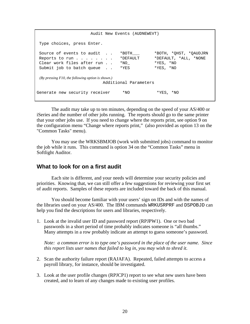Audit New Events (AUDNEWEVT) Type choices, press Enter. Source of events to audit . . \*BOTH\_\_\_ \*BOTH, \*QHST, \*QAUDJRN Reports to run . . . . . . . . \* DEFAULT \* DEFAULT, \*ALL, \*NONE Clear work files after run . . \*NO\_ \*YES, \*NO Submit job to batch queue . . \*YES \*YES, \*NO  *(By pressing F10, the following option is shown.)* Additional Parameters Generate new security receiver \*NO \*YES, \*NO

 The audit may take up to ten minutes, depending on the speed of your AS/400 or iSeries and the number of other jobs running. The reports should go to the same printer that your other jobs use. If you need to change where the reports print, see option 9 on the configuration menu "Change where reports print," (also provided as option 13 on the "Common Tasks" menu).

 You may use the WRKSBMJOB (work with submitted jobs) command to monitor the job while it runs. This command is option 34 on the "Common Tasks" menu in Softlight Auditor.

## **What to look for on a first audit**

 Each site is different, and your needs will determine your security policies and priorities. Knowing that, we can still offer a few suggestions for reviewing your first set of audit reports. Samples of these reports are included toward the back of this manual.

 You should become familiar with your users' sign on IDs and with the names of the libraries used on your AS/400. The IBM commands WRKUSRPRF and DSPOBJD can help you find the descriptions for users and libraries, respectively.

1. Look at the invalid user ID and password report (RPJPW1). One or two bad passwords in a short period of time probably indicates someone is "all thumbs." Many attempts in a row probably indicate an attempt to guess someone's password.

*Note: a common error is to type one's password in the place of the user name. Since this report lists user names that failed to log in, you may wish to shred it.*

- 2. Scan the authority failure report (RAJAFA). Repeated, failed attempts to access a payroll library, for instance, should be investigated.
- 3. Look at the user profile changes (RPJCP1) report to see what new users have been created, and to learn of any changes made to existing user profiles.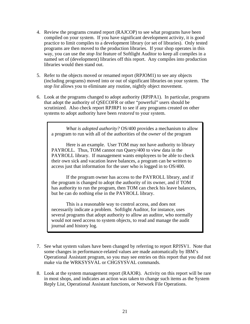- 4. Review the programs created report (RAJCOP) to see what programs have been compiled on your system. If you have significant development activity, it is good practice to limit compiles to a development library (or set of libraries). Only tested programs are then moved to the production libraries. If your shop operates in this way, you can use the *stop list* feature of Softlight Auditor to keep all compiles in a named set of (development) libraries off this report. Any compiles into production libraries would then stand out.
- 5. Refer to the objects moved or renamed report (RPJOM1) to see any objects (including programs) moved into or out of significant libraries on your system. The *stop list* allows you to eliminate any routine, nightly object movement.
- 6. Look at the programs changed to adopt authority (RPJPA1). In particular, programs that adopt the authority of QSECOFR or other "powerful" users should be scrutinized. Also check report RPJRP1 to see if any programs created on other systems to adopt authority have been *restored* to your system.

 *What is adopted authority?* OS/400 provides a mechanism to allow a program to run with all of the authorities of the *owner* of the program

 Here is an example. User TOM may not have authority to library PAYROLL. Thus, TOM cannot run Query/400 to view data in the PAYROLL library. If management wants employees to be able to check their own sick and vacation leave balances, a program can be written to access just that information for the user who is logged in to OS/400.

 If the program owner has access to the PAYROLL library, and if the program is changed to adopt the authority of its owner, and if TOM has authority to run the program, then TOM can check his leave balances, but he can do nothing else in the PAYROLL library.

 This is a reasonable way to control access, and does not necessarily indicate a problem. Softlight Auditor, for instance, uses several programs that adopt authority to allow an auditor, who normally would not need access to system objects, to read and manage the audit journal and history log.

- 7. See what system values have been changed by referring to report RPJSV1. Note that some changes in performance-related values are made automatically by IBM's Operational Assistant program, so you may see entries on this report that you did not make via the WRKSYSVAL or CHGSYSVAL commands.
- 8. Look at the system management report (RAJOR). Activity on this report will be rare in most shops, and indicates an action was taken to change such items as the System Reply List, Operational Assistant functions, or Network File Operations.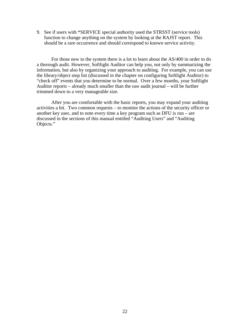9. See if users with \*SERVICE special authority used the STRSST (service tools) function to change anything on the system by looking at the RAJST report. This should be a rare occurrence and should correspond to known service activity.

For those new to the system there is a lot to learn about the AS/400 in order to do a thorough audit. However, Softlight Auditor can help you, not only by summarizing the information, but also by organizing your approach to auditing. For example, you can use the library/object stop list (discussed in the chapter on configuring Softlight Auditor) to "check off" events that you determine to be normal. Over a few months, your Softlight Auditor reports – already much smaller than the raw audit journal – will be further trimmed down to a very manageable size.

 After you are comfortable with the basic reports, you may expand your auditing activities a bit. Two common requests – to monitor the actions of the security officer or another key user, and to note every time a key program such as DFU is run – are discussed in the sections of this manual entitled "Auditing Users" and "Auditing Objects."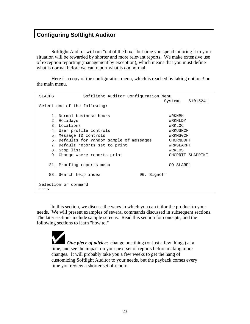## **Configuring Softlight Auditor**

 Softlight Auditor will run "out of the box," but time you spend tailoring it to your situation will be rewarded by shorter and more relevant reports. We make extensive use of exception reporting (management by exception), which means that you must define what is normal before we can report what is *not* normal.

 Here is a copy of the configuration menu, which is reached by taking option 3 on the main menu.

```
 SLACFG Softlight Auditor Configuration Menu 
                                    System: S1015241 
 Select one of the following: 
   1. Normal business hours and the MRKNBH
    2. Holidays WRKHLDY 
    3. Locations WRKLOC 
   4. User profile controls WRKUSRCF
   5. Message ID controls WRKMSGCF
    6. Defaults for random sample of messages CHGRNDDFT 
    7. Default reports set to print WRKSLARPT 
   8. Stop list WRKLOS
   9. Change where reports print The CHGPRTF SLAPRINT
   21. Proofing reports menu GO SLARP1 
  88. Search help index 90. Signoff
 Selection or command 
==>
```
 In this section, we discuss the ways in which you can tailor the product to your needs. We will present examples of several commands discussed in subsequent sections. The later sections include sample screens. Read this section for concepts, and the following sections to learn "how to."

*One piece of advice*: change one thing (or just a few things) at a time, and see the impact on your next set of reports before making more changes. It will probably take you a few weeks to get the hang of customizing Softlight Auditor to your needs, but the payback comes every time you review a shorter set of reports.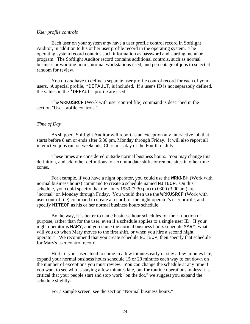#### *User profile controls*

 Each user on your system *may* have a user profile control record in Softlight Auditor, in addition to his or her user profile record in the operating system. The operating system record contains such information as password and starting menu or program. The Softlight Auditor record contains additional controls, such as normal business or working hours, normal workstations used, and percentage of jobs to select at random for review.

 You do *not* have to define a separate user profile control record for each of your users. A special profile, \*DEFAULT, is included. If a user's ID is not separately defined, the values in the \*DEFAULT profile are used.

 The WRKUSRCF (Work with user control file) command is described in the section "User profile controls."

#### *Time of Day*

 As shipped, Softlight Auditor will report as an exception any interactive job that starts before 8 am or ends after 5:30 pm, Monday through Friday. It will also report all interactive jobs run on weekends, Christmas day or the Fourth of July.

 These times are considered outside normal business hours. You may change this definition, and add other definitions to accommodate shifts or remote sites in other time zones.

 For example, if you have a night operator, you could use the WRKNBH (Work with normal business hours) command to create a schedule named NITEOP. On this schedule, you could specify that the hours 1930 (7:30 pm) to 0300 (3:00 am) are "normal" on Monday through Friday. You would then use the WRKUSRCF (Work with user control file) command to create a record for the night operator's user profile, and specify NITEOP as his or her normal business hours schedule.

 By the way, it is better to name business hour schedules for their function or purpose, rather than for the user, even if a schedule applies to a single user ID. If your night operator is MARY, and you name the normal business hours schedule MARY, what will you do when Mary moves to the first shift, or when you hire a second night operator? We recommend that you create schedule NITEOP, then specify that schedule for Mary's user control record.

 Hint: if your users tend to come in a few minutes early or stay a few minutes late, expand your normal business hours schedule 15 or 20 minutes each way to cut down on the number of exceptions you must review. You can change the schedule at any time if you want to see who is staying a few minutes late, but for routine operations, unless it is critical that your people start and stop work "on the dot," we suggest you expand the schedule slightly.

For a sample screen, see the section "Normal business hours."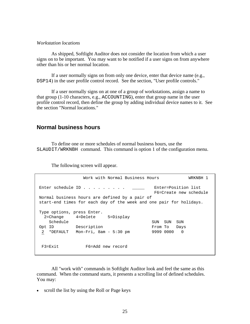#### *Workstation locations*

 As shipped, Softlight Auditor does not consider the location from which a user signs on to be important. You may want to be notified if a user signs on from anywhere other than his or her normal location.

 If a user normally signs on from only one device, enter that device name (e.g., DSP14) in the user profile control record. See the section, "User profile controls."

 If a user normally signs on at one of a group of workstations, assign a name to that group (1-10 characters, e.g., ACCOUNTING), enter that group name in the user profile control record, then define the group by adding individual device names to it. See the section "Normal locations."

## **Normal business hours**

 To define one or more schedules of normal business hours, use the SLAUDIT/WRKNBH command. This command is option 1 of the configuration menu.

The following screen will appear.

Work with Normal Business Hours WRKNBH 1 Enter schedule ID . . . . . . . . . \_\_\_\_\_\_ Enter=Position list F6=Create new schedule Normal business hours are defined by a pair of start-end times for each day of the week and one pair for holidays. Type options, press Enter. 2=Change 4=Delete 5=Display Schedule<br>
Schedule<br>
ID Description<br>
\*DEFAULT Mon-Fri, 8am - 5:30 pm 9999 0000 0 Opt ID Description  $2$  \*DEFAULT Mon-Fri, 8am - 5:30 pm F3=Exit F6=Add new record

 All "work with" commands in Softlight Auditor look and feel the same as this command. When the command starts, it presents a scrolling list of defined schedules. You may:

• scroll the list by using the Roll or Page keys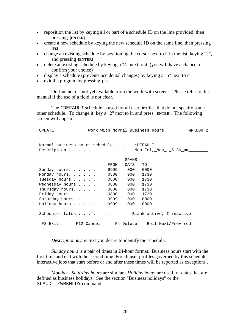- reposition the list by keying all or part of a schedule ID on the line provided, then pressing **[ENTER]**
- create a new schedule by keying the new schedule ID on the same line, then pressing **[F6]**
- change an existing schedule by positioning the cursor next to it in the list, keying "2", and pressing **[ENTER]**
- delete an existing schedule by keying a "4" next to it (you will have a chance to confirm your choice)
- display a schedule (prevents accidental changes) by keying a "5" next to it
- exit the program by pressing **[F3]**.

 On-line help is not yet available from the work-with screens. Please refer to this manual if the use of a field is not clear.

 The \*DEFAULT schedule is used for all user profiles that do not specify some other schedule. To change it, key a "2" next to it, and press **[ENTER]**. The following screen will appear.

| <b>UPDATE</b>       |                                                | Work with Normal Business Hours |                                            | WRKNBH 2 |
|---------------------|------------------------------------------------|---------------------------------|--------------------------------------------|----------|
|                     | Normal business hours schedule.<br>Description |                                 | *DEFAULT<br>Mon-Fri, _8am_-_5:30_pm_______ |          |
|                     |                                                | SPANS                           |                                            |          |
|                     |                                                | FROM<br>DAYS                    | TO                                         |          |
| Sunday hours        |                                                | 9999<br>000                     | 0000                                       |          |
| Monday hours.       |                                                | 0800<br>000                     | 1730                                       |          |
| Tuesday hours       |                                                | 0800<br>000                     | 1730                                       |          |
| Wednesday hours     |                                                | 0800<br>000                     | 1730                                       |          |
| Thursday hours      |                                                | 000<br>0800                     | 1730                                       |          |
| Friday hours.       |                                                | 0800<br>000                     | 1730                                       |          |
| Saturday hours.     |                                                | 000<br>9999                     | 0000                                       |          |
| Holiday hours       |                                                | 000<br>9999                     | 0000                                       |          |
| Schedule status     |                                                |                                 | Blank=active, I=inactive                   |          |
| $F3 = F \times i t$ | F12=Cancel F4=Delete                           |                                 | Roll=Next/Prev rcd                         |          |

 *Description* is any text you desire to identify the schedule.

 *Sunday hours* is a pair of times in 24-hour format. Business hours start with the first time and end with the second time. For all user profiles governed by this schedule, interactive jobs that start before or end after these times will be reported as exceptions .

 *Monday - Saturday hours* are similar. *Holiday hours* are used for dates that are defined as business holidays. See the section "Business holidays" or the SLAUDIT/WRKHLDY command.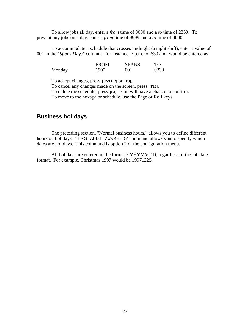To allow jobs all day, enter a *from* time of 0000 and a *to* time of 2359. To prevent any jobs on a day, enter a *from* time of 9999 and a *to* time of 0000.

 To accommodate a schedule that crosses midnight (a night shift), enter a value of 001 in the *"Spans Days"* column. For instance, 7 p.m. to 2:30 a.m. would be entered as

|        | <b>FROM</b> | <b>SPANS</b> | TO   |
|--------|-------------|--------------|------|
| Monday | 1900        | 001          | 0230 |

To accept changes, press **[ENTER]** or **[F3]**.

 To cancel any changes made on the screen, press **[F12]**. To delete the schedule, press **[F4]**. You will have a chance to confirm. To move to the next/prior schedule, use the Page or Roll keys.

## **Business holidays**

 The preceding section, "Normal business hours," allows you to define different hours on holidays. The SLAUDIT/WRKHLDY command allows you to specify which dates are holidays. This command is option 2 of the configuration menu.

 All holidays are entered in the format YYYYMMDD, regardless of the job date format. For example, Christmas 1997 would be 19971225.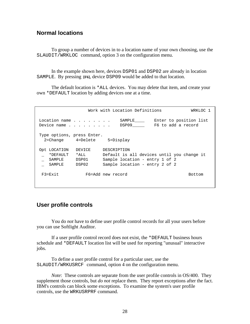## **Normal locations**

 To group a number of devices in to a location name of your own choosing, use the SLAUDIT/WRKLOC command, option 3 on the configuration menu.

 In the example shown here, devices DSP01 and DSP02 are already in location SAMPLE. By pressing **[F6]**, device DSP09 would be added to that location.

 The default location is \*ALL devices. You may delete that item, and create your own \*DEFAULT location by adding devices one at a time.

 Work with Location Definitions WRKLOC 1 Location name . . . . . . . SAMPLE\_\_\_\_ Enter to position list Device name . . . . . . . . DSP09\_\_\_\_\_ F6 to add a record Type options, press Enter. 2=Change 4=Delete 5=Display Opt LOCATION DEVICE DESCRIPTION \_ \*DEFAULT \*ALL Default is all devices until you change it \_ SAMPLE DSP01 Sample location - entry 1 of 2 \_ SAMPLE DSP02 Sample location - entry 2 of 2 F3=Exit F6=Add new record Bottom

## **User profile controls**

 You do *not* have to define user profile control records for all your users before you can use Softlight Auditor.

 If a user profile control record does not exist, the \*DEFAULT business hours schedule and \*DEFAULT location list will be used for reporting "unusual" interactive jobs.

 To define a user profile control for a particular user, use the SLAUDIT/WRKUSRCF command, option 4 on the configuration menu.

*Note*: These controls are separate from the user profile controls in OS/400. They supplement those controls, but *do not* replace them. They report exceptions after the fact. IBM's controls can block some exceptions. To examine the system's user profile controls, use the WRKUSRPRF command.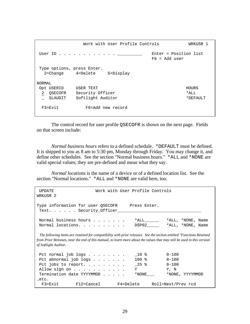Work with User Profile Controls WRKUSR 1 User ID . . . . . . . . . . . .  $\_\_\_\_\_\_\_\$  Enter = Position list F6 = Add user Type options, press Enter. 2=Change 4=Delete 5=Display NORMAL Opt USERID USER TEXT And the USER Opt USER IS NOT A SERIES OF A SERIES OF A SERIES OF A SERIES OF A SERIES OF A SERIES OF A SERIES OF A SERIES OF A SERIES OF A SERIES OF A SERIES OF A SERIES OF A SERIES OF A SERIES OF A SE 2 OSECOFR Security Officer  $*ALL$  \_ SLAUDIT Softlight Auditor \*DEFAULT F3=Exit F6=Add new record

 The control record for user profile QSECOFR is shown on the next page. Fields on that screen include:

*Normal business hours* refers to a defined schedule. \*DEFAULT must be defined. It is shipped to you as 8 am to 5:30 pm, Monday through Friday. You may change it, and define other schedules. See the section "Normal business hours." \*ALL and \*NONE are valid special values; they are pre-defined and mean what they say.

*Normal locations* is the name of a device or of a defined location list. See the section "Normal locations." \*ALL and \*NONE are valid here, too.

 UPDATE Work with User Profile Controls WRKUSR 2 Type information for user QSECOFR Press Enter. Text. . . . . . Security Officer Normal business hours . . . . . . . \*ALL\_\_\_\_\_\_ \*ALL, \*NONE, Name<br>Normal locations. . . . . . . . . DSP02\_\_\_\_\_ \*ALL, \*NONE, Name Normal locations. . . . . . . . . . DSP02  *The following items are retained for compatibility with prior releases. See the section entitled "Functions Retained from Prior Releases, near the end of this manual, to learn more about the values that may still be used in this version of Softlight Auditor.*  Pct normal job logs . . . . . . . \_ \_10 % 0-100 Pct abnormal job logs . . . . . . 100 % 0-100 Pct jobs to report. . . . . . . . 25 % 0-100 Allow sign on . . . . . . . . . . . Y Y, N Termination date YYYYMMDD . . . . . \* NONE\_\_\_ \*NONE, YYYYMMDD …etc. F3=Exit F12=Cancel F4=Delete Roll=Next/Prev rcd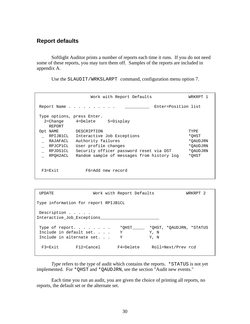## **Report defaults**

 Softlight Auditor prints a number of reports each time it runs. If you do not need some of these reports, you may turn them off. Samples of the reports are included in appendix A.

Use the SLAUDIT/WRKSLARPT command, configuration menu option 7.

|                                                                                                              | Work with Report Defaults                                                                                                                                                                                          | WRKRPT 1                                                   |
|--------------------------------------------------------------------------------------------------------------|--------------------------------------------------------------------------------------------------------------------------------------------------------------------------------------------------------------------|------------------------------------------------------------|
|                                                                                                              | Enter=Position list<br>Report Name                                                                                                                                                                                 |                                                            |
| Type options, press Enter.<br>REPORT<br>Opt NAME<br>RPIJB1CL<br>RAJAFACL<br>RPJCP1CL<br>RPJDS1CL<br>RPOH2ACL | 5=Display<br>2=Change 4=Delete<br>DESCRIPTION<br>Interactive Job Exceptions<br>Authority failures<br>User profile changes<br>Security officer password reset via DST<br>Random sample of messages from history log | TYPE<br>*OHST<br>*OAUDJRN<br>*OAUDJRN<br>*OAUDJRN<br>*OHST |
| $F3 = Exit$                                                                                                  | F6=Add new record                                                                                                                                                                                                  |                                                            |

| UPDATE.             |                                                                                 | Work with Report Defaults | WRKRPT 2                                 |
|---------------------|---------------------------------------------------------------------------------|---------------------------|------------------------------------------|
|                     | Type information for report RPIJB1CL                                            |                           |                                          |
| Description         | Interactive Job Exceptions                                                      |                           |                                          |
|                     | Type of report. $\ldots$<br>Include in default set.<br>Include in alternate set | *OHST<br>Y<br>Y           | *OHST, *OAUDJRN, *STATUS<br>Y, N<br>Y, N |
| $F3 = F \times i t$ | F12=Cancel                                                                      | F4=Delete                 | Roll=Next/Prev rcd                       |

*Type* refers to the type of audit which contains the reports. \*STATUS is not yet implemented. For \*QHST and \*QAUDJRN, see the section "Audit new events."

 Each time you run an audit, you are given the choice of printing all reports, no reports, the default set or the alternate set.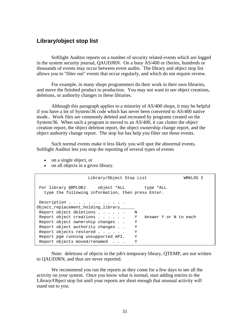## **Library/object stop list**

 Softlight Auditor reports on a number of security related events which are logged in the system security journal, QAUDJRN. On a busy AS/400 or iSeries, hundreds or thousands of events may occur between event audits. The library and object stop list allows you to "filter out" events that occur regularly, and which do not require review.

 For example, in many shops programmers do their work in their own libraries, and move the finished product to production. You may not want to see object creations, deletions, or authority changes in these libraries.

 Although this paragraph applies to a minority of AS/400 shops, it may be helpful if you have a lot of System/36 code which has never been converted to AS/400 native mode.. Work files are commonly deleted and recreated by programs created on the System/36. When such a program is moved to an AS/400, it can clutter the object creation report, the object deletion report, the object ownership change report, and the object authority change report. The stop list has help you filter out those events.

 Such normal events make it less likely you will spot the abnormal events. Softlight Auditor lets you stop the reporting of several types of events

- on a single object, or
- on all objects in a given library.

| Library/Object Stop List                                                                       | WRKLOS 2              |  |  |  |  |  |
|------------------------------------------------------------------------------------------------|-----------------------|--|--|--|--|--|
| For library ORPLOBJ object *ALL type *ALL<br>type the following information, then press Enter. |                       |  |  |  |  |  |
| Description                                                                                    |                       |  |  |  |  |  |
| Object replacement holding library                                                             |                       |  |  |  |  |  |
| Report object deletions                                                                        | N                     |  |  |  |  |  |
| Report object creations Y                                                                      | Answer Y or N to each |  |  |  |  |  |
| Report object ownership changes                                                                | Y                     |  |  |  |  |  |
| Report object authority changes                                                                | Y                     |  |  |  |  |  |
| Report objects restored                                                                        | Υ                     |  |  |  |  |  |
| Report pom running unsupported API.                                                            | Y                     |  |  |  |  |  |
| Report objects moved/renamed                                                                   | Υ                     |  |  |  |  |  |

 Note: deletions of objects in the job's temporary library, QTEMP, are not written to QAUDJRN, and thus are never reported.

 We recommend you run the reports as they come for a few days to see all the activity on your system. Once you know what is normal, start adding entries to the Library/Object stop list until your reports are short enough that unusual activity will stand out to you.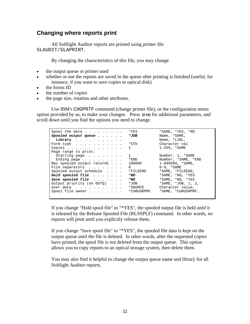## **Changing where reports print**

 All Softlight Auditor reports are printed using printer file SLAUDIT/SLAPRINT.

By changing the characteristics of this file, you may change

- the output queue or printer used
- whether or not the reports are saved in the queue after printing is finished (useful, for instance, if you want to save copies to optical disk)
- the forms ID
- the number of copies
- the page size, rotation and other attributes.

 Use IBM's CHGPRTF command (change printer file), or the configuration menu option provided by us, to make your changes. Press **[F10]** for additional parameters, and scroll down until you find the options you need to change.

| Spool the data $\ldots$                       | *YES                   | *SAME, *YES, *NO         |
|-----------------------------------------------|------------------------|--------------------------|
| Spooled output queue $\cdots$                 | *JOB                   | Name, *SAME,             |
| Library                                       |                        | Name, *LIBL,             |
| Form type $\ldots$ $\ldots$ $\ldots$ $\ldots$ | $*$ STD                | Character val            |
| Copies                                        | 1                      | 1-255, *SAME             |
| Page range to print:                          |                        |                          |
| Starting page $\ldots$                        | $1 \quad \blacksquare$ | Number, 1, *SAME         |
| Ending page $\ldots$                          | *END                   | Number, *SAME, *END      |
| Max spooled output records                    | 100000                 | $1-999999, *SAME,$       |
| File separators                               | $\Omega$               | $0-9$ , *SAME            |
| Spooled output schedule                       | *FILEEND               | *SAME, *FILEEND,         |
| Hold spooled file $\cdots$                    | $*_{NO}$               | *SAME, *NO, *YES         |
| Save spooled file $\cdots$                    |                        | *SAME, *NO, *YES         |
| Output priority (on OUTO)                     | *JOB                   | $*$ SAME, $*$ JOB, 1, 2, |
| User data                                     | *SOURCE                | Character value.         |
| Spool file owner *CURUSRPRF                   |                        | *SAME, *CURUSRPRF,       |
|                                               |                        |                          |
|                                               |                        |                          |

If you change "Hold spool file" to "\*YES", the spooled output file is held until it is released by the Release Spooled File (RLSSPLF) command. In other words, no reports will print until you explicitly release them.

If you change "Save spool file" to "\*YES", the spooled file data is kept on the output queue until the file is deleted. In other words, after the requested copies have printed, the spool file is *not* deleted from the output queue. This option allows you to copy reports to an optical storage system, then delete them.

You may also find it helpful to change the output queue name and library for all Softlight Auditor reports.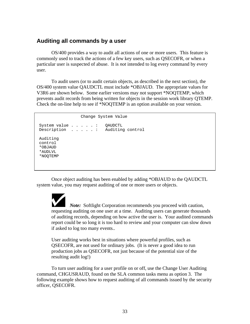## **Auditing all commands by a user**

 OS/400 provides a way to audit all actions of one or more users. This feature is commonly used to track the actions of a few key users, such as QSECOFR, or when a particular user is suspected of abuse. It is *not* intended to log every command by every user.

To audit users (or to audit certain objects, as described in the next section), the OS/400 system value QAUDCTL must include \*OBJAUD. The appropriate values for V3R6 are shown below. Some earlier versions may not support \*NOQTEMP, which prevents audit records from being written for objects in the session work library QTEMP. Check the on-line help to see if \*NOQTEMP is an option available on your version.

Change System Value

```
 System value . . . . . : QAUDCTL 
 Description . . . . . : Auditing control 
 Auditing 
 control 
 *OBJAUD 
 *AUDLVL 
 *NOQTEMP
```
 Once object auditing has been enabled by adding \*OBJAUD to the QAUDCTL system value, you may request auditing of one or more users or objects.

 *Note:* Softlight Corporation recommends you proceed with caution, requesting auditing on one user at a time. Auditing users can generate thousands of auditing records, depending on how active the user is. Your audited commands report could be so long it is too hard to review and your computer can slow down if asked to log too many events..

User auditing works best in situations where powerful profiles, such as QSECOFR, are not used for ordinary jobs. (It is never a good idea to run production jobs as QSECOFR, not just because of the potential size of the resulting audit log!)

 To turn user auditing for a user profile on or off, use the Change User Auditing command, CHGUSRAUD, found on the SLA common tasks menu as option 3. The following example shows how to request auditing of all commands issued by the security officer, QSECOFR.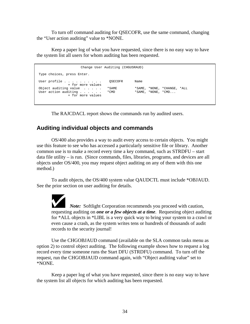To turn off command auditing for QSECOFR, use the same command, changing the "User action auditing" value to \*NONE.

 Keep a paper log of what you have requested, since there is no easy way to have the system list all users for whom auditing has been requested.

```
 Change User Auditing (CHGUSRAUD) 
 Type choices, press Enter. 
User profile . . . . . . . . . . QSECOFR Name
                  + for more values 
Object auditing value . . . . . *SAME *SAME, *NONE, *CHANGE, *ALL<br>User action auditing . . . . . . *CMD *SAME, *NONE, *CMD...
User action auditing \ldots.
                  + for more values
```
The RAJCDACL report shows the commands run by audited users.

## **Auditing individual objects and commands**

 OS/400 also provides a way to audit every access to certain objects. You might use this feature to see who has accessed a particularly sensitive file or library. Another common use is to make a record every time a key command, such as STRDFU – start data file utility – is run. (Since commands, files, libraries, programs, and devices are all objects under OS/400, you may request object auditing on any of them with this one method.)

 To audit objects, the OS/400 system value QAUDCTL must include \*OBJAUD. See the prior section on user auditing for details.

*Note:* Softlight Corporation recommends you proceed with caution, requesting auditing on *one or a few objects at a time*. Requesting object auditing for \*ALL objects in \*LIBL is a very quick way to bring your system to a crawl or even cause a crash, as the system writes tens or hundreds of thousands of audit records to the security journal!

 Use the CHGOBJAUD command (available on the SLA common tasks menu as option 2) to control object auditing. The following example shows how to request a log record every time someone runs the Start DFU (STRDFU) command. To turn off the request, run the CHGOBJAUD command again, with "Object auditing value" set to \*NONE.

 Keep a paper log of what you have requested, since there is no easy way to have the system list all objects for which auditing has been requested.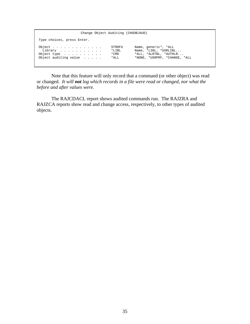| Change Object Auditing (CHGOBJAUD)                                                                                   |                                                                                                          |
|----------------------------------------------------------------------------------------------------------------------|----------------------------------------------------------------------------------------------------------|
| Type choices, press Enter.                                                                                           |                                                                                                          |
| Object<br>STRDFU<br>$*$ LIBL<br>Library<br>* CMD<br>Object type $\ldots$<br>Object auditing value $\ldots$ .<br>*ALL | Name, generic*, *ALL<br>Name, *LIBL, *USRLIBL<br>*ALL, *ALRTBL, *AUTHLR<br>*NONE, *USRPRF, *CHANGE, *ALL |

 Note that this feature will only record that a command (or other object) was read or changed. *It will not log which records in a file were read or changed, nor what the before and after values were.*

 The RAJCDACL report shows audited commands run. The RAJZRA and RAJZCA reports show read and change access, respectively, to other types of audited objects.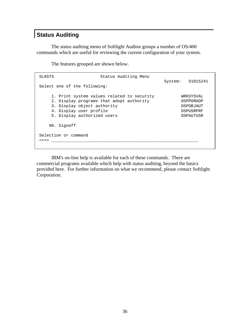# **Status Auditing**

 The status auditing menu of Softlight Auditor groups a number of OS/400 commands which are useful for reviewing the current configuration of your system.

The features grouped are shown below.

SLASTS SLASTS Status Auditing Menu System: S1015241 Select one of the following: 1. Print system values related to security WRKSYSVAL 2. Display programs that adopt authority DSPPGMADP 3. Display object authority DSPOBJAUT 4. Display user profile  $\qquad \qquad$  DSPUSRPRF 5. Display authorized users **Example 20** DSPAUTUSR 90. Signoff Selection or command ===> \_\_\_\_\_\_\_\_\_\_\_\_\_\_\_\_\_\_\_\_\_\_\_\_\_\_\_\_\_\_\_\_\_\_\_\_\_\_\_\_\_\_\_\_\_\_\_\_\_\_\_\_\_\_\_\_\_\_\_\_

 IBM's on-line help is available for each of these commands. There are commercial programs available which help with status auditing, beyond the basics provided here. For further information on what we recommend, please contact Softlight Corporation.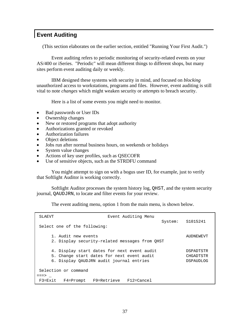# **Event Auditing**

(This section elaborates on the earlier section, entitled "Running Your First Audit.")

Event auditing refers to periodic monitoring of security-related events on your AS/400 or iSeries. "Periodic" will mean different things to different shops, but many sites perform event auditing daily or weekly.

 IBM designed these systems with security in mind, and focused on *blocking* unauthorized access to workstations, programs and files. However, event auditing is still vital to note *changes* which might weaken security or *attempts* to breach security.

Here is a list of some events you might need to monitor.

- Bad passwords or User IDs
- Ownership changes
- New or restored programs that adopt authority
- Authorizations granted or revoked
- Authorization failures
- Object deletions
- Jobs run after normal business hours, on weekends or holidays
- System value changes
- Actions of key user profiles, such as QSECOFR
- Use of sensitive objects, such as the STRDFU command

 You might attempt to sign on with a bogus user ID, for example, just to verify that Softlight Auditor is working correctly.

 Softlight Auditor processes the system history log, QHST, and the system security journal, QAUDJRN, to locate and filter events for your review.

The event auditing menu, option 1 from the main menu, is shown below.

| SLAEVT                                                                                                                                | Event Auditing Menu                        |  |  |  |  |  |  |  |
|---------------------------------------------------------------------------------------------------------------------------------------|--------------------------------------------|--|--|--|--|--|--|--|
| Select one of the following:                                                                                                          | System: S1015241                           |  |  |  |  |  |  |  |
| 1. Audit new events<br>AUDNEWEVT<br>2. Display security-related messages from OHST                                                    |                                            |  |  |  |  |  |  |  |
| 4. Display start dates for next event audit<br>5. Change start dates for next event audit<br>6. Display QAUDJRN audit journal entries | DSPADTSTR<br>CHGADTSTR<br><b>DSPAUDLOG</b> |  |  |  |  |  |  |  |
| Selection or command<br>$==->$                                                                                                        |                                            |  |  |  |  |  |  |  |
| $F3 = Exit$                                                                                                                           | F4=Prompt F9=Retrieve F12=Cancel           |  |  |  |  |  |  |  |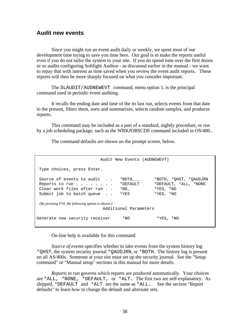### **Audit new events**

 Since you might run an event audit daily or weekly, we spent most of our development time trying to save you time here. Our goal is to make the reports useful even if you do not tailor the system to your site. If you do spend time over the first dozen or so audits configuring Softlight Auditor - as discussed earlier in the manual - we want to repay that with interest as time saved when you review the event audit reports. These reports will then be more sharply focused on what you consider important.

 The SLAUDIT/AUDNEWEVT command, menu option 1, is the principal command used in periodic event auditing.

 It recalls the ending date and time of the its last run, selects events from that date to the present, filters them, sorts and summarizes, selects random samples, and produces reports.

 This command may be included as a part of a standard, nightly procedure, or run by a job scheduling package, such as the WRKJOBSCDE command included in OS/400..

The command defaults are shown on the prompt screen, below.

|                                                                                                        | Audit New Events (AUDNEWEVT)              |                                                                               |
|--------------------------------------------------------------------------------------------------------|-------------------------------------------|-------------------------------------------------------------------------------|
| Type choices, press Enter.                                                                             |                                           |                                                                               |
| Source of events to audit<br>Reports to run<br>Clear work files after run<br>Submit job to batch queue | *BOTH<br>*DEFAULT<br>$*_{\rm NO}$<br>*YES | *BOTH, *OHST, *OAUDJRN<br>*DEFAULT, *ALL, *NONE<br>$*YES, *NO$<br>$*YES, *NO$ |
| $(Bv)$ pressing F10, the following option is shown.)                                                   | Additional Parameters                     |                                                                               |
| Generate new security receiver                                                                         | *NO.                                      | $*YES, *NO$                                                                   |

On-line help is available for this command.

*Source of events* specifies whether to take events from the system history log \*QHST, the system security journal \*QAUDJRN, or \*BOTH. The history log is present on all AS/400s. Someone at your site must set up the security journal. See the "Setup command" or "Manual setup" sections in this manual for more details.

*Reports to run* governs which reports are produced automatically. Your choices are \*ALL, \*NONE, \*DEFAULT, or \*ALT. The first two are self-explanatory. As shipped, \*DEFAULT and \*ALT are the same as \*ALL. See the section "Report defaults" to learn how to change the default and alternate sets.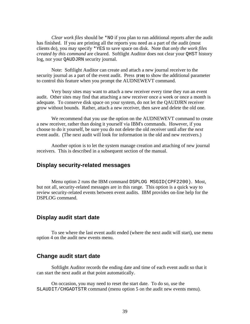*Clear work files* should be \*NO if you plan to run additional reports after the audit has finished. If you are printing all the reports you need as a part of the audit (most clients do), you may specify \*YES to save space on disk. Note that *only the work files created by this command* are cleared. Softlight Auditor does not clear your QHST history log, nor your QAUDJRN security journal.

 Note: Softlight Auditor can create and attach a new journal receiver to the security journal as a part of the event audit. Press **[F10]** to show the additional parameter to control this feature when you prompt the AUDNEWEVT command.

 Very busy sites may want to attach a new receiver every time they run an event audit. Other sites may find that attaching a new receiver once a week or once a month is adequate. To conserve disk space on your system, do not let the QAUDJRN receiver grow without bounds. Rather, attach a new receiver, then save and delete the old one.

 We recommend that you use the option on the AUDNEWEVT command to create a new receiver, rather than doing it yourself via IBM's commands. However, if you choose to do it yourself, be sure you do not delete the old receiver until after the *next* event audit. (The next audit will look for information in the old and new receivers.)

 Another option is to let the system manage creation and attaching of new journal receivers. This is described in a subsequent section of the manual.

### **Display security-related messages**

 Menu option 2 runs the IBM command DSPLOG MSGID(CPF2200). Most, but not all, security-related messages are in this range. This option is a quick way to review security-related events between event audits. IBM provides on-line help for the DSPLOG command.

### **Display audit start date**

 To see where the last event audit ended (where the next audit will start), use menu option 4 on the audit new events menu.

### **Change audit start date**

 Softlight Auditor records the ending date and time of each event audit so that it can start the next audit at that point automatically.

 On occasion, you may need to reset the start date. To do so, use the SLAUDIT/CHGADTSTR command (menu option 5 on the audit new events menu).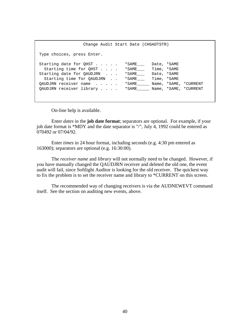Change Audit Start Date (CHGADTSTR) Type choices, press Enter. Starting date for QHST . . . . . \* SAME\_\_\_ Date, \*SAME Starting time for QHST . . . . \*SAME\_\_\_ Time, \*SAME Starting date for QAUDJRN . . . \*SAME\_\_\_ Date, \*SAME Starting time for QAUDJRN . . \* SAME\_\_\_ Time, \*SAME QAUDJRN receiver name . . . . . \* SAME\_\_\_\_\_ Name, \*SAME, \*CURRENT QAUDJRN receiver library . . . . \*SAME Name, \*SAME, \*CURRENT

On-line help is available.

 Enter *dates* in the **job date format**; separators are optional. For example, if your job date format is \*MDY and the date separator is "/", July 4, 1992 could be entered as 070492 or 07/04/92.

 Enter *times* in 24 hour format, including seconds (e.g. 4:30 pm entered as 163000); separators are optional (e.g. 16:30:00).

 The *receiver name* and *library* will not normally need to be changed. However, if you have manually changed the QAUDJRN receiver and deleted the old one, the event audit will fail, since Softlight Auditor is looking for the old receiver. The quickest way to fix the problem is to set the receiver name and library to \*CURRENT on this screen.

 The recommended way of changing receivers is via the AUDNEWEVT command itself. See the section on auditing new events, above.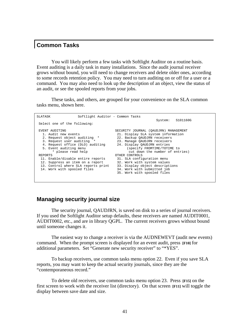## **Common Tasks**

 You will likely perform a few tasks with Softlight Auditor on a routine basis. Event auditing is a daily task in many installations. Since the audit journal receiver grows without bound, you will need to change receivers and delete older ones, according to some records retention policy. You may need to turn auditing on or off for a user or a command. You may also need to look up the description of an object, view the status of an audit, or see the spooled reports from your jobs.

 These tasks, and others, are grouped for your convenience on the SLA common tasks menu, shown here.

| SLATASK | Softlight Auditor - Common Tasks    |                                       |
|---------|-------------------------------------|---------------------------------------|
|         |                                     | S101160G<br>System:                   |
|         | Select one of the following:        |                                       |
|         | EVENT AUDITING                      | SECURITY JOURNAL (OAUDJRN) MANAGEMENT |
|         | 1. Audit new events                 | 21. Display SLA system information    |
|         | 2. Request object auditing *        | 22. Backup OAUDJRN receivers          |
|         | 3. Request user auditing *          | 23. Manage OAUDJRN receivers          |
|         | 4. Request office (DLO) auditing    | 24. Display OAUDJRN entries           |
|         | 5. Event auditing menu              | (specify FROMTIME/TOTIME to           |
|         | * please read help                  | cut down the number of entries)       |
| REPORTS |                                     | OTHER CONTROLS                        |
|         | 11. Enable/disable entire reports   | 31. SLA configuration menu            |
|         | 12. Suppress an item on a report    | 32. Work with system values           |
|         | 13. Control where SLA reports print | 33. Display object descriptions       |
|         | 14. Work with spooled files         | 34. Work with submitted job           |
|         |                                     | 35. Work with spooled files           |
|         |                                     |                                       |
|         |                                     |                                       |

### **Managing security journal size**

 The security journal, QAUDJRN, is saved on disk to a series of journal receivers. If you used the Softlight Auditor setup defaults, these receivers are named AUDIT0001, AUDIT0002, etc., and are in library QGPL. The current receivers grows without bound until someone changes it.

 The easiest way to change a receiver is via the AUDNEWEVT (audit new events) command. When the prompt screen is displayed for an event audit, press **[F10]** for additional parameters. Set "Generate new security receiver" to "\*YES".

 To backup receivers, use common tasks menu option 22. Even if you save SLA reports, you may want to keep the actual security journals, since they are the "contemporaneous record."

 To delete old receivers, use common tasks menu option 23. Press **[F15]** on the first screen to work with the receiver list (directory). On that screen **[F11]** will toggle the display between save date and size.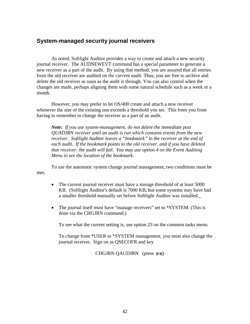### **System-managed security journal receivers**

 As noted, Softlight Auditor provides a way to create and attach a new security journal receiver. The AUDNEWEVT command has a special parameter to generate a new receiver as a part of the audit. By using that method, you are assured that all entries from the old receiver are audited *on the current audit.* Thus, you are free to archive and delete the old receiver as soon as the audit is through. You can also control when the changes are made, perhaps aligning them with some natural schedule such as a week or a month.

 However, you may prefer to let OS/400 create and attach a new receiver whenever the *size* of the existing one exceeds a threshold you set. This frees you from having to remember to change the receiver as a part of an audit.

*Note: If you use system-management, do not delete the immediate past QUADJRN receiver until an audit is run which contains events from the new receiver. Softlight Auditor leaves a "bookmark" in the receiver at the end of each audit. If the bookmark points to the old receiver, and if you have deleted that receiver, the audit will fail. You may use option 4 on the Event Auditing Menu to see the location of the bookmark.*

To use the automatic system change journal management, two conditions must be met.

- The current journal receiver must have a storage threshold of at least 5000 KB. (Softlight Auditor's default is 7000 KB, but some systems may have had a smaller threshold manually set before Softlight Auditor was installed.\_
- The journal itself must have "manage receivers" set to \*SYSTEM. (This is done via the CHGJRN command.)

To see what the current setting is, use option 23 on the common tasks menu.

To change from \*USER to \*SYSTEM management, you must also change the journal receiver. Sign on as QSECOFR and key

CHGJRN QAUDJRN (press **[F4]**)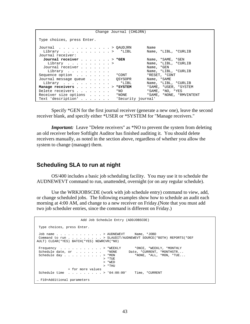|                                                                       | Change Journal (CHGJRN) |                                 |  |  |
|-----------------------------------------------------------------------|-------------------------|---------------------------------|--|--|
| Type choices, press Enter.                                            |                         |                                 |  |  |
| Journal $\ldots$ , $\ldots$ , $\ldots$ , $\ldots$ , $\Diamond$ AUDJRN |                         | Name                            |  |  |
| Library $\ldots$ > *LIBL                                              |                         | Name, *LIBL, *CURLIB            |  |  |
| Journal receiver:                                                     |                         |                                 |  |  |
| Journal receiver > *GEN                                               |                         | Name, *SAME, *GEN               |  |  |
| Library >                                                             |                         | Name, *LIBL, *CURLIB            |  |  |
| Journal receiver                                                      |                         | Name, *GEN                      |  |  |
| Library                                                               |                         | Name, *LIBL, *CURLIB            |  |  |
| Sequence option *CONT                                                 |                         | *RESET, *CONT                   |  |  |
| Journal message queue   QSYSOPR                                       |                         | Name, *SAME                     |  |  |
| Library                                                               |                         | $*LIBL$<br>Name, *LIBL, *CURLIB |  |  |
| Manage receivers > *SYSTEM                                            |                         | *SAME, *USER, *SYSTEM           |  |  |
| Delete receivers                                                      | $*_{\rm NO}$            | *SAME, *NO, *YES                |  |  |
| Receiver size options                                                 | $*$ NONE                | *SAME, *NONE, *RMVINTENT        |  |  |
| Text 'description'                                                    |                         | 'Security journal'              |  |  |

 Specify \*GEN for the first journal receiver (generate a new one), leave the second receiver blank, and specify either \*USER or \*SYSTEM for "Manage receivers."

*Important:* Leave "Delete receivers" as \*NO to prevent the system from deleting an old receiver before Softlight Auditor has finished auditing it. You should delete receivers manually, as noted in the section above, regardless of whether you allow the system to change (manage) them.

## **Scheduling SLA to run at night**

 OS/400 includes a basic job scheduling facility. You may use it to schedule the AUDNEWEVT command to run, unattended, overnight (or on any regular schedule).

 Use the WRKJOBSCDE (work with job schedule entry) command to view, add, or change scheduled jobs. The following examples show how to schedule an audit each morning at 4:00 AM, and change to a new receiver on Friday.(Note that you must add two job scheduler entries, since the command is different on Friday.)

```
 Add Job Schedule Entry (ADDJOBSCDE) 
 Type choices, press Enter. 
Job name . . . . . . . . . . . . > AUDNEWEVT Name, *JOBD Command to run . . . . . . . . > SLAUDIT/AUDNEWEVT SOURCE(*
                          . . . . > SLAUDIT/AUDNEWEVT SOURCE(*BOTH) REPORTS(*DEF
AULT) CLEAR(*YES) BATCH(*YES) NEWRCVR(*NO) 
Frequency . . . . . . . . . . > *WEEKLY *ONCE, *WEEKLY, *MONTHLY
Schedule date, or . . . . . . . *NONE Date, *CURRENT, *MONTHSTR...
Schedule day \ldots . . . . . . > *MON *NONE, *ALL, *MON, *TUE...
                                    > *TUE 
                                   > *WED 
                                   > *THU 
                + for more values 
Schedule time . . . . . . . . > '04:00:00' Time, *CURRENT
… F10=Additional parameters
```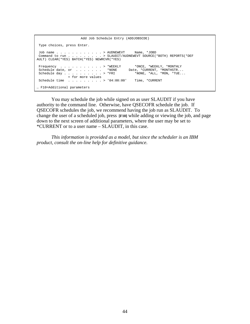```
 Add Job Schedule Entry (ADDJOBSCDE) 
 Type choices, press Enter. 
 Job name . . . . . . . . . . . . > AUDNEWEVT Name, *JOBD 
 Command to run . . . . . . . . . > SLAUDIT/AUDNEWEVT SOURCE(*BOTH) REPORTS(*DEF 
AULT) CLEAR(*YES) BATCH(*YES) NEWRCVR(*YES) 
Frequency . . . . . . . . . . > *WEEKLY *ONCE, *WEEKLY, *MONTHLY
Schedule date, or . . . . . . . *NONE Date, *CURRENT, *MONTHSTR...
Schedule day . . . . . . . . . . > *FRI *NONE, *ALL, *MON, *TUE...
 + for more values 
 Schedule time . . . . . . . . . > '04:00:00' Time, *CURRENT 
… F10=Additional parameters
```
 You may schedule the job while signed on as user SLAUDIT if you have authority to the command line. Otherwise, have QSECOFR schedule the job. If QSECOFR schedules the job, we recommend having the job run as SLAUDIT. To change the user of a scheduled job, press **[F10]** while adding or viewing the job, and page down to the next screen of additional parameters, where the user may be set to \*CURRENT or to a user name – SLAUDIT, in this case.

 *This information is provided as a model, but since the scheduler is an IBM product, consult the on-line help for definitive guidance.*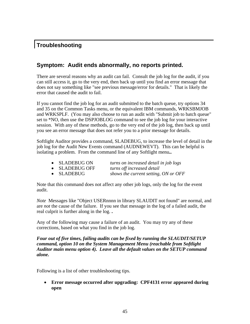# **Troubleshooting**

# **Symptom: Audit ends abnormally, no reports printed.**

There are several reasons why an audit can fail. Consult the job log for the audit, if you can still access it, go to the very end, then back up until you find an error message that does not say something like "see previous message/error for details." That is likely the error that caused the audit to fail.

If you cannot find the job log for an audit submitted to the batch queue, try options 34 and 35 on the Common Tasks menu, or the equivalent IBM commands, WRKSBMJOB and WRKSPLF. (You may also choose to run an audit with "Submit job to batch queue" set to \*NO, then use the DSPJOBLOG command to see the job log for your interactive session. With any of these methods, go to the very end of the job log, then back up until you see an error message that does not refer you to a prior message for details.

Softlight Auditor provides a command, SLADEBUG, to increase the level of detail in the job log for the Audit New Events command (AUDNEWEVT). This can be helpful is isolating a problem. From the command line of any Softlight menu**..**

| • SLADEBUG ON  | turns on increased detail in job logs |
|----------------|---------------------------------------|
| • SLADEBUG OFF | turns off increased detail            |

• SLADEBUG *shows the current setting, ON or OFF*

Note that this command does not affect any other job logs, only the log for the event audit.

*Note* Messages like "Object USERnnnn in library SLAUDIT not found" are normal, and are *not* the cause of the failure. If you see that message in the log of a failed audit, the real culprit is further along in the log. **.**

Any of the following may cause a failure of an audit. You may try any of these corrections, based on what you find in the job log.

*Four out of five times, failing audits can be fixed by running the SLAUDIT/SETUP command, option 10 on the System Management Menu (reachable from Softlight Auditor main menu option 4). Leave all the default values on the SETUP command alone.* 

Following is a list of other troubleshooting tips.

• **Error message occurred after upgrading: CPF4131 error appeared during open**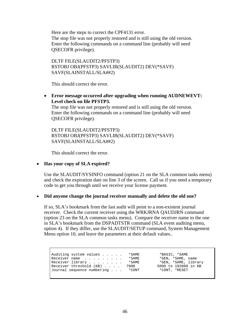Here are the steps to correct the CPF4131 error. The stop file was not properly restored and is still using the old version. Enter the following commands on a command line (probably will need QSECOFR privilege).

DLTF FILE(SLAUDIT2/PFSTP3) RSTOBJ OBJ(PFSTP3) SAVLIB(SLAUDIT2) DEV(\*SAVF) SAVF(SLAINSTALL/SLA##2)

This should correct the error.

• **Error message occurred after upgrading when running AUDNEWEVT: Level check on file PFSTP3.** 

The stop file was not properly restored and is still using the old version. Enter the following commands on a command line (probably will need QSECOFR privilege).

DLTF FILE(SLAUDIT2/PFSTP3) RSTOBJ OBJ(PFSTP3) SAVLIB(SLAUDIT2) DEV(\*SAVF) SAVF(SLAINSTALL/SLA##2)

This should correct the error.

### • **Has your copy of SLA expired?**

Use the SLAUDIT/SYSINFO command (option 21 on the SLA common tasks menu) and check the expiration date on line 3 of the screen. Call us if you need a temporary code to get you through until we receive your license payment.

#### • **Did anyone change the journal receiver manually and delete the old one?**

If so, SLA's bookmark from the last audit will point to a non-existent journal receiver. Check the current receiver using the WRKJRNA QAUDJRN command (option 23 on the SLA common tasks menu). Compare the receiver name to the one in SLA's bookmark from the DSPADTSTR command (SLA event auditing menu, option 4). If they differ, use the SLAUDIT/SETUP command, System Management Menu option 10, and leave the parameters at their default values..

| *BASIC, *SAME<br>*GEN, *SAME, name<br>*GEN, *SAME, library<br>5000 to 192000 in KB<br>*CONT. *RESET |
|-----------------------------------------------------------------------------------------------------|
|                                                                                                     |
|                                                                                                     |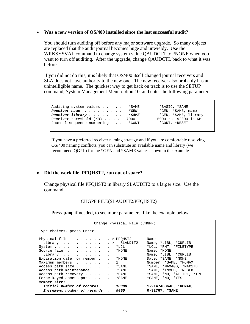#### • **Was a new version of OS/400 installed since the last successful audit?**

You should turn auditing off before any major software upgrade. So many objects are replaced that the audit journal becomes huge and unwieldy. Use the WRKSYSVAL command to change system value QAUDCLT to \*NONE when you want to turn off auditing. After the upgrade, change QAUDCTL back to what it was before.

If you did not do this, it is likely that OS/400 itself changed journal receivers and SLA does not have authority to the new one. The new receiver also probably has an unintelligible name. The quickest way to get back on track is to use the SETUP command, System Management Menu option 10, and enter the following parameters

| Auditing system values *SAME<br>Receiver name<br>Receiver library $\ldots$<br>Receiver threshold (KB) 7000<br>Journal sequence numbering * CONT | *GEN<br>* SAME | *BASIC, *SAME<br>*GEN, *SAME, name<br>*GEN, *SAME, library<br>5000 to 192000 in KB<br>*CONT, *RESET |
|-------------------------------------------------------------------------------------------------------------------------------------------------|----------------|-----------------------------------------------------------------------------------------------------|
|-------------------------------------------------------------------------------------------------------------------------------------------------|----------------|-----------------------------------------------------------------------------------------------------|

If you have a preferred receiver naming strategy and if you are comfortable resolving OS/400 naming conflicts, you can substitute an available name and library (we recommend QGPL) for the \*GEN and \*SAME values shown in the example.

#### • **Did the work file, PFQHST2, run out of space?**

Change physical file PFQHST2 in library SLAUDIT2 to a larger size. Use the command

#### CHGPF FILE(SLAUDIT2/PFQHST2)

Press **[F10]**, if needed, to see more parameters, like the example below.

| Change Physical File (CHGPF)                                                                                                                                                                                                                                  |                                                                                                                                                                                                  |
|---------------------------------------------------------------------------------------------------------------------------------------------------------------------------------------------------------------------------------------------------------------|--------------------------------------------------------------------------------------------------------------------------------------------------------------------------------------------------|
| Type choices, press Enter.                                                                                                                                                                                                                                    |                                                                                                                                                                                                  |
| Physical file $\ldots$ > PFQHST2<br>SLAUDIT2<br>Library $\ldots$ ><br>$System * LCL$<br>Source file<br>*NONE<br>Library<br>Expiration date for member $\ldots$<br>*NONE<br>Maximum members<br>Access path size<br>* SAME<br>Access path maintenance<br>* SAME | Name<br>Name, *LIBL, *CURLIB<br>*LCL, *RMT, *FILETYPE<br>Name, *NONE<br>Name, *LIBL, *CURLIB<br>Date, *SAME, *NONE<br>Number, *SAME, *NOMAX<br>*SAME, *MAX4GB, *MAX1TB<br>*SAME, *IMMED, *REBLD, |
| * SAME<br>Access path recovery<br>Force keyed access path<br>* SAME<br>Member size:                                                                                                                                                                           | *SAME, *NO, *AFTIPL, *IPL<br>*SAME, *NO, *YES                                                                                                                                                    |
| Initial number of records<br>10000<br>Increment number of records.<br>5000                                                                                                                                                                                    | $1 - 2147483646$ , *NOMAX,<br>$0 - 32767$ , *SAME                                                                                                                                                |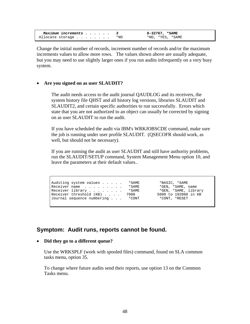| Maximum increments 3 |  |  |  |     | 0-32767, *SAME   |
|----------------------|--|--|--|-----|------------------|
| Allocate storage     |  |  |  | *NO | *NO, *YES, *SAME |

Change the initial number of records, increment number of records and/or the maximum increments values to allow more rows. The values shown above are usually adequate, but you may need to use slightly larger ones if you run audits infrequently on a very busy system.

#### • **Are you signed on as user SLAUDIT?**

The audit needs access to the audit journal QAUDLOG and its receivers, the system history file QHST and all history log versions, libraries SLAUDIT and SLAUDIT2, and certain specific authorities to run successfully. Errors which state that you are not authorized to an object can usually be corrected by signing on as user SLAUDIT to run the audit.

If you have scheduled the audit via IBM's WRKJOBSCDE command, make sure the job is running under user profile SLAUDIT. (QSECOFR should work, as well, but should not be necessary).

If you are running the audit as user SLAUDIT and still have authority problems, run the SLAUDIT/SETUP command, System Management Menu option 10, and leave the parameters at their default values..

Auditing system values . . . . . \*SAME \*BASIC, \*SAME Receiver name . . . . . . . . \*SAME \*GEN, \*SAME, name Receiver name . . . . . . . . . \*SAME \*GEN, \*SAME, name<br>Receiver library . . . . . . . . \*SAME \*GEN, \*SAME, library Receiver library . . . . . . . . \*SAME \*GEN, \*SAME, library<br>Receiver threshold (KB) . . . . 7000 5000 to 192000 in KB Receiver threshold (KB) . . . . 7000 5000 to 192000<br>Journal sequence numbering . . . \*CONT \*CONT, \*RESET Journal sequence numbering  $\ldots$ .

### **Symptom: Audit runs, reports cannot be found.**

#### • **Did they go to a different queue?**

Use the WRKSPLF (work with spooled files) command, found on SLA common tasks menu, option 35.

To change where future audits send their reports, use option 13 on the Common Tasks menu.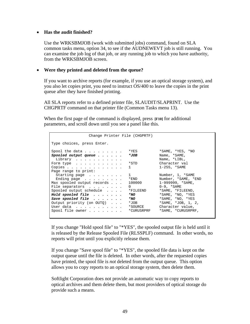#### • **Has the audit finished?**

Use the WRKSBMJOB (work with submitted jobs) command, found on SLA common tasks menu, option 34, to see if the AUDNEWEVT job is still running. You can examine the job log of that job, or any running job to which you have authority, from the WRKSBMJOB screen.

#### • **Were they printed and deleted from the queue?**

If you want to archive reports (for example, if you use an optical storage system), and you also let copies print, you need to instruct OS/400 to leave the copies in the print queue after they have finished printing.

All SLA reports refer to a defined printer file, SLAUDIT/SLAPRINT. Use the CHGPRTF command on that printer file (Common Tasks menu 13).

When the first page of the command is displayed, press **[F10]** for additional parameters, and scroll down until you see a panel like this.

| Change Printer File (CHGPRTF)                       |                                |
|-----------------------------------------------------|--------------------------------|
| Type choices, press Enter.                          |                                |
| Spool the data $\ldots$                             | $*$ YES<br>*SAME, *YES, *NO    |
| Spooled output queue $\cdots$                       | Name, *SAME,<br>*JOB           |
| Library                                             | Name, *LIBL,                   |
| Form type                                           | Character val<br>$*$ STD       |
| Copies $\ldots$ $\ldots$ $\ldots$ $\ldots$ $\ldots$ | $1 - 255$ , $*$ SAME<br>$1 -$  |
| Page range to print:                                |                                |
| Starting page $\ldots$                              | Number, 1, *SAME<br>$1 -$      |
| Ending page $\ldots$                                | $*$ END<br>Number, *SAME, *END |
| Max spooled output records                          | $1-999999, *SAME,$<br>100000   |
| File separators<br>0                                | 0-9, *SAME                     |
| Spooled output schedule                             | *SAME, *FILEEND,<br>*FILEEND   |
| Hold spooled file $\cdots$                          | *SAME, *NO, *YES<br>$*_{NO}$   |
| Save spooled file $\cdots$                          | *SAME, *NO, *YES<br>$*_{NO}$   |
| Output priority (on OUTQ)                           | $*$ SAME, $*$ JOB, 1, 2,       |
| User data                                           | Character value,<br>*SOURCE    |
| Spool file owner *CURUSRPRF                         | *SAME, *CURUSRPRF,             |
|                                                     |                                |

If you change "Hold spool file" to "\*YES", the spooled output file is held until it is released by the Release Spooled File (RLSSPLF) command. In other words, no reports will print until you explicitly release them.

If you change "Save spool file" to "\*YES", the spooled file data is kept on the output queue until the file is deleted. In other words, after the requested copies have printed, the spool file is *not* deleted from the output queue. This option allows you to copy reports to an optical storage system, then delete them.

Softlight Corporation does not provide an automatic way to copy reports to optical archives and them delete them, but most providers of optical storage do provide such a means.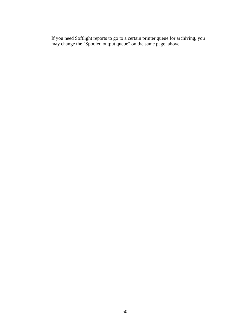If you need Softlight reports to go to a certain printer queue for archiving, you may change the "Spooled output queue" on the same page, above.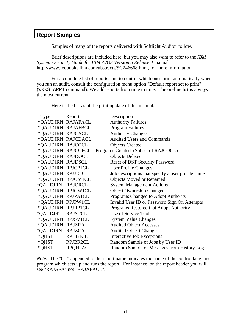# **Report Samples**

Samples of many of the reports delivered with Softlight Auditor follow.

 Brief descriptions are included here, but you may also want to refer to the *IBM System i Security Guide for IBM i5/OS Version 5 Release 4* manual, http://www.redbooks.ibm.com/abstracts/SG246668.html, for more information.

 For a complete list of reports, and to control which ones print automatically when you run an audit, consult the configuration menu option "Default report set to print" (WRKSLARPT command). We add reports from time to time. The on-line list is always the most current.

Here is the list as of the printing date of this manual.

| Type Report       |                   | Description                                       |
|-------------------|-------------------|---------------------------------------------------|
|                   | *QAUDJRN RAJAFACL | <b>Authority Failures</b>                         |
| *QAUDJRN RAJAFBCL |                   | <b>Program Failures</b>                           |
| *QAUDJRN RAJCACL  |                   | <b>Authority Changes</b>                          |
|                   | *QAUDJRN RAJCDACL | <b>Audited Users and Commands</b>                 |
| *QAUDJRN RAJCOCL  |                   | <b>Objects Created</b>                            |
|                   | *QAUDJRN RAJCOPCL | Programs Created (Subset of RAJCOCL)              |
| *QAUDJRN RAJDOCL  |                   | <b>Objects Deleted</b>                            |
| *QAUDJRN RAJDSCL  |                   | <b>Reset of DST Security Password</b>             |
| *QAUDJRN RPJCP1CL |                   | <b>User Profile Changes</b>                       |
| *QAUDJRN RPJJD1CL |                   | Job descriptions that specify a user profile name |
| *QAUDJRN RPJOM1CL |                   | <b>Objects Moved or Renamed</b>                   |
| *QAUDJRN RAJORCL  |                   | <b>System Management Actions</b>                  |
| *QAUDJRN RPJOW1CL |                   | <b>Object Ownership Changed</b>                   |
| *QAUDJRN RPJPA1CL |                   | Programs Changed to Adopt Authority               |
| *QAUDJRN RPJPW1CL |                   | Invalid User ID or Password Sign On Attempts      |
| *QAUDJRN RPJRP1CL |                   | Programs Restored that Adopt Authority            |
| *QAUDJRT RAJSTCL  |                   | Use of Service Tools                              |
| *QAUDJRN RPJSV1CL |                   | <b>System Value Changes</b>                       |
| *QAUDJRN RAJZRA   |                   | <b>Audited Object Accesses</b>                    |
| *QAUDJRN RAJZCA   |                   | <b>Audited Object Changes</b>                     |
| *QHST RPIJB1CL    |                   | Interactive Job Exceptions                        |
| *QHST RPJBR2CL    |                   | Random Sample of Jobs by User ID                  |
| *QHST             | RPQH2ACL          | Random Sample of Messages from History Log        |

*Note:* The "CL" appended to the report name indicates the name of the control language program which sets up and runs the report. For instance, on the report header you will see "RAJAFA" not "RAJAFACL".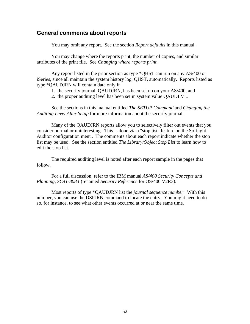### **General comments about reports**

You may omit any report. See the section *Report defaults* in this manual.

 You may change where the reports print, the number of copies, and similar attributes of the print file. See *Changing where reports print.*

 Any report listed in the prior section as type \*QHST can run on any AS/400 or iSeries, since all maintain the system history log, QHST, automatically. Reports listed as type \*QAUDJRN will contain data only if

- 1. the security journal, QAUDJRN, has been set up on your AS/400, and
- 2. the proper auditing level has been set in system value QAUDLVL.

 See the sections in this manual entitled *The SETUP Command* and *Changing the Auditing Level After Setup* for more information about the security journal.

 Many of the QAUDJRN reports allow you to selectively filter out events that you consider normal or uninteresting. This is done via a "stop list" feature on the Softlight Auditor configuration menu. The comments about each report indicate whether the stop list may be used. See the section entitled *The Library/Object Stop List* to learn how to edit the stop list.

 The required auditing level is noted after each report sample in the pages that follow.

 For a full discussion, refer to the IBM manual *AS/400 Security Concepts and Planning, SC41-8083* (renamed *Security Reference* for OS/400 V2R3)*.*

 Most reports of type \*QAUDJRN list the *journal sequence number*. With this number, you can use the DSPJRN command to locate the entry. You might need to do so, for instance, to see what other events occurred at or near the same time.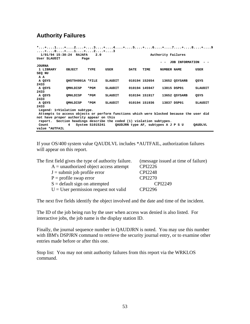## **Authority Failures**

| *+1+2+3+4+5+6+7+8+9<br>. + 0 + 1 + 2 + 3<br>1/01/94 15:30:24 RAJAFA<br>User SLAUDIT     | Page             | 2.0             |                |      |                                     |             | Authority Failures<br>JOB INFORMATION |                |
|-----------------------------------------------------------------------------------------|------------------|-----------------|----------------|------|-------------------------------------|-------------|---------------------------------------|----------------|
| <b>JOURNA</b>                                                                           |                  |                 |                |      |                                     |             |                                       |                |
| 1 LIBRARY                                                                               | OBJECT           | TYPE            | USER           | DATE | TIME                                | NUMBER NAME |                                       | USER           |
| SEQ NU                                                                                  |                  |                 |                |      |                                     |             |                                       |                |
| AA                                                                                      |                  |                 |                |      |                                     |             |                                       |                |
| A QSYS                                                                                  | QHST94001A *FILE |                 | SLAUDIT        |      | 010194 152654                       |             | 13652 QSYSARB                         | OSYS           |
| 2433                                                                                    |                  |                 |                |      |                                     |             |                                       |                |
| A QSYS                                                                                  | <b>QMHLDISP</b>  | $*_{\rm PGM}$   | SLAUDIT        |      | 010194 145947                       |             | 13815 DSP01                           | <b>SLAUDIT</b> |
| 2433                                                                                    |                  |                 |                |      |                                     |             |                                       |                |
| A QSYS                                                                                  | OMHLDISP         | $*_{\rm PGM}$   | SLAUDIT        |      | 010194 151917                       |             | 13652 OSYSARB                         | QSYS           |
| 2433                                                                                    |                  |                 |                |      |                                     |             |                                       |                |
| A QSYS                                                                                  | <b>QMHLDISP</b>  | $*_{\rm PGM}$   | <b>SLAUDIT</b> |      | 010194 151936                       |             | 13837 DSP01                           | <b>SLAUDIT</b> |
| 2433                                                                                    |                  |                 |                |      |                                     |             |                                       |                |
| Legend: 1=Violation subtype.                                                            |                  |                 |                |      |                                     |             |                                       |                |
| Attempts to access objects or perform functions which were blocked because the user did |                  |                 |                |      |                                     |             |                                       |                |
| not have proper authority appear on this                                                |                  |                 |                |      |                                     |             |                                       |                |
| report. Section headings describe the coded (1) violation subtypes.                     |                  |                 |                |      |                                     |             |                                       |                |
| Count                                                                                   | 4                | System S1015241 |                |      | QAUDJRN type AF, subtypes A J P S U |             |                                       | <b>OAUDLVL</b> |
| value *AUTFAIL                                                                          |                  |                 |                |      |                                     |             |                                       |                |

If your OS/400 system value QAUDLVL includes \*AUTFAIL, authorization failures will appear on this report.

| The first field gives the type of authority failure. | (message issued at time of failure) |
|------------------------------------------------------|-------------------------------------|
| $A =$ unauthorized object access attempt             | <b>CPI2226</b>                      |
| $J =$ submit job profile error                       | <b>CPI2248</b>                      |
| $P =$ profile swap error                             | <b>CPI2270</b>                      |
| $S =$ default sign on attempted                      | CPI2249                             |
| $U =$ User permission request not valid              | CPI2296                             |

The next five fields identify the object involved and the date and time of the incident.

The ID of the job being run by the user when access was denied is also listed. For interactive jobs, the job name is the display station ID.

Finally, the journal sequence number in QAUDJRN is noted. You may use this number with IBM's DSPJRN command to retrieve the security journal entry, or to examine other entries made before or after this one.

Stop list: You may not omit authority failures from this report via the WRKLOS command.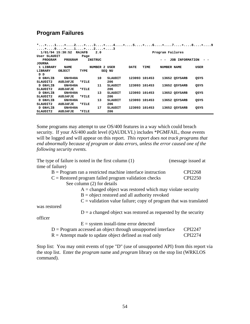# **Program Failures**

|                 | *+1+2+3+4+5+6+7+8+9<br>. + 0 + 1 + 2 + 3 |                |     |                |      |               |                  |                 |      |
|-----------------|------------------------------------------|----------------|-----|----------------|------|---------------|------------------|-----------------|------|
|                 | 1/01/94 15:30:52 RAJAFB                  |                | 2.0 |                |      |               | Program Failures |                 |      |
| User SLAUDIT    |                                          | Page           |     |                |      |               |                  |                 |      |
| PROGRAM         | PROGRAM                                  | <b>INSTRUC</b> |     |                |      |               |                  | JOB INFORMATION |      |
| <b>JOURNA</b>   |                                          |                |     |                |      |               |                  |                 |      |
| 1 LIBRARY       | <b>NAME</b>                              |                |     | NUMBER 2 USER  | DATE | TIME          | NUMBER NAME      |                 | USER |
| LIBRARY         | <b>OBJECT</b>                            | TYPE           |     | SEQ NU         |      |               |                  |                 |      |
| ם מ             |                                          |                |     |                |      |               |                  |                 |      |
| D GN#LIB        | GN#040A                                  |                | 10  | SLAUDIT        |      | 123093 101453 |                  | 13652 QSYSARB   | QSYS |
| SLAUDIT2        | <b>AUDJAFJE</b>                          | *FILE          |     | 206            |      |               |                  |                 |      |
| <b>D GN#LIB</b> | GN#040A                                  |                | 11  | SLAUDIT        |      | 123093 101453 |                  | 13652 OSYSARB   | QSYS |
| SLAUDIT2        | <b>AUDJAFJE</b>                          | *FILE          |     | 206            |      |               |                  |                 |      |
| <b>D GN#LIB</b> | GN#040A                                  |                | 13  | SLAUDIT        |      | 123093 101453 |                  | 13652 QSYSARB   | QSYS |
| SLAUDIT2        | <b>AUDJAFJE</b>                          | *FILE          |     | 206            |      |               |                  |                 |      |
| D GN#LIB        | GN#040A                                  |                | 13  | <b>SLAUDIT</b> |      | 123093 101453 |                  | 13652 QSYSARB   | QSYS |
| SLAUDIT2        | <b>AUDJAFJE</b>                          | *FILE          |     | 206            |      |               |                  |                 |      |
| <b>D GN#LIB</b> | GN#040A                                  |                | 17  | SLAUDIT        |      | 123093 101453 |                  | 13652 OSYSARB   | QSYS |
| SLAUDIT2        | <b>AUDJAFJE</b>                          | *FILE          |     | 206            |      |               |                  |                 |      |

Some programs may attempt to use OS/400 features in a way which could breach security. If your AS/400 audit level (QAUDLVL) includes \*PGMFAIL, those events will be logged and will appear on this report. *This report does not track programs that end abnormally because of program or data errors, unless the error caused one of the following security events.* 

| The type of failure is noted in the first column $(1)$              | (message issued at |
|---------------------------------------------------------------------|--------------------|
| time of failure)                                                    |                    |
| $B = Program$ ran a restricted machine interface instruction        | <b>CPI2268</b>     |
| $C =$ Restored program failed program validation checks             | <b>CPI2250</b>     |
| See column (2) for details                                          |                    |
| $A =$ changed object was restored which may violate security        |                    |
| $B =$ object restored and all authority revoked                     |                    |
| $C =$ validation value failure; copy of program that was translated |                    |
| was restored                                                        |                    |
| $D = a$ changed object was restored as requested by the security    |                    |
| officer                                                             |                    |
| $E =$ system install-time error detected                            |                    |
| $D = Program$ accessed an object through unsupported interface      | CPI2247            |
| $R =$ Attempt made to update object defined as read only            | CPI2274            |

Stop list: You may omit events of type "D" (use of unsupported API) from this report via the stop list. Enter the *program* name and *program* library on the stop list (WRKLOS command).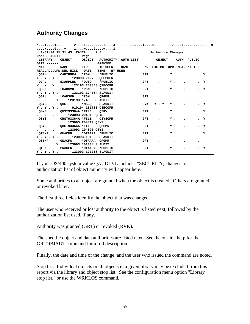# **Authority Changes**

| *+1+2+3+4+5+6+7+8+9                                                                                           |                 |            |                                   |  |      |
|---------------------------------------------------------------------------------------------------------------|-----------------|------------|-----------------------------------|--|------|
| +0+1+2+3                                                                                                      |                 |            |                                   |  |      |
| 1/01/94 15:31:43 RAJCA 2.0                                                                                    |                 |            | Authority Changes                 |  |      |
| User SLAUDIT Page                                                                                             |                 |            |                                   |  |      |
| <b>LIBRARY</b>                                                                                                |                 |            |                                   |  |      |
| $DATA$ ------                                                                                                 | <b>GRANTED</b>  |            |                                   |  |      |
| NAME TYPE TO USER<br><b>NAME</b>                                                                              |                 |            | NAME G/R EXS.MGT.OPR. MGT. *AUTL. |  |      |
| READ.ADD.UPD.DEL.EXCL DATE                                                                                    | TIME BY USER    |            |                                   |  |      |
| OGPL<br><b>CAUTHNEW</b><br>$*_{\rm PGM}$                                                                      | *PUBLIC         | GRT        | . Y .<br>$\bullet$                |  | . Y. |
| $Y$ . $Y$ . $Y$ .<br>123093 212708 OSECOFR                                                                    |                 |            |                                   |  |      |
| QGPL EXAMPLES *OUTQ *PUBLIC                                                                                   |                 | GRT        | . Y .                             |  | . Y. |
| Y.Y.Y. 123193 153848 OSECOFR                                                                                  |                 |            |                                   |  |      |
| OGPL<br>LOADSVD *PGM                                                                                          | *PUBLIC*        | <b>GRT</b> | . Y .                             |  | . Y. |
| Y.Y.Y. 123193 174054 SLAUDIT                                                                                  |                 |            |                                   |  |      |
| QGPL<br>LOADSVD *PGM QPGMR                                                                                    |                 | <b>GRT</b> |                                   |  |      |
| . Y 123193 174055 SLAUDIT<br>$\sim$ $\sim$                                                                    |                 |            |                                   |  |      |
| OHST *MSGO SLAUDIT<br>QSYS                                                                                    |                 | <b>RVK</b> | Y.Y.Y.                            |  | . Y. |
| Y.Y.Y. 010194 151705 QSECOFR                                                                                  |                 |            |                                   |  |      |
| QHST93364A *FILE QSRV<br>QSYS                                                                                 |                 | <b>GRT</b> | . Y .                             |  | . Y. |
| 123093 204818 QSYS<br><b>Contract Contract Contract</b><br>$\ddot{\phantom{0}}$                               |                 |            |                                   |  |      |
| QSYS QHST93364A *FILE QSYSOPR                                                                                 |                 | <b>GRT</b> | . Y .                             |  | . Y. |
| 123093 204819 QSYS<br>$\mathbf{L}$ and $\mathbf{L}$ and $\mathbf{L}$<br>$\bullet$ and $\bullet$ and $\bullet$ |                 |            |                                   |  |      |
| QHST93364A *FILE QPGMR<br>QSYS                                                                                |                 | <b>GRT</b> | . Y .                             |  | . Y. |
| 123093 204820 OSYS<br>$\bullet$ $\bullet$ $\bullet$<br>$\bullet$                                              |                 |            |                                   |  |      |
| GN#CFG<br>OTEMP                                                                                               | *DTAARA *PUBLIC | <b>GRT</b> | . Y .                             |  | . Y. |
| Y . Y . Y . 123093 101338 SLAUDIT                                                                             |                 |            |                                   |  |      |
| GN#CFG *DTAARA OPGMR<br><b>QTEMP</b>                                                                          |                 | <b>GRT</b> |                                   |  |      |
| . Y 123093 101338 SLAUDIT                                                                                     |                 |            |                                   |  |      |
| QTEMP GN#CFG *DTAARA *PUBLIC                                                                                  |                 | <b>GRT</b> | . Y .<br>$\sim$                   |  | . ч. |
| Y . Y . Y . 123093 171218 SLAUDIT                                                                             |                 |            |                                   |  |      |

If your OS/400 system value QAUDLVL includes \*SECURITY, changes to authorization list of object authority will appear here.

Some authorities to an object are granted when the object is created. Others are granted or revoked later.

The first three fields identify the object that was changed.

The user who received or lost authority to the object is listed next, followed by the authorization list used, if any.

Authority was granted (GRT) or revoked (RVK).

The specific object and data authorities are listed next. See the on-line help for the GRTOBJAUT command for a full description.

Finally, the date and time of the change, and the user who issued the command are noted.

Stop list: Individual objects or all objects in a given library may be excluded from this report via the library and object stop list. See the configuration menu option "Library stop list," or use the WRKLOS command.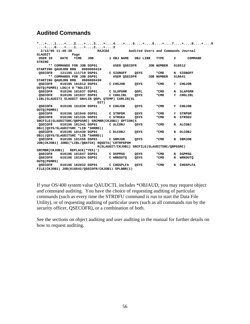# **Audited Commands**

|                                    |      |                           |                                                     |                                               |          |                   |              | *+1+2+3+4+5+6+7+8+9 |
|------------------------------------|------|---------------------------|-----------------------------------------------------|-----------------------------------------------|----------|-------------------|--------------|---------------------|
|                                    |      |                           | . + 0 + 1 + 2 + 3                                   |                                               |          |                   |              |                     |
| $2/13/96$ 11:40:38                 |      |                           |                                                     | RAJCDA Mudited Users and Commands Journal     |          |                   |              |                     |
| SLAUDIT                            |      | Page                      |                                                     |                                               |          |                   |              |                     |
| USER ID                            | DATE | TIME                      |                                                     | JOB 1 OBJ NAME                                | OBJ LIBR | TYPE              | $\mathbf{2}$ | COMMAND             |
| <b>STRING</b>                      |      |                           |                                                     |                                               |          |                   |              |                     |
|                                    |      | ** COMMANDS FOR JOB DSP01 |                                                     | <b>USER OSECOFR</b>                           |          | <b>JOB NUMBER</b> |              | 018512              |
| STARTING QAUDJRN RRN 0000000410    |      |                           |                                                     |                                               |          |                   |              |                     |
| <b>QSECOFR</b>                     |      |                           | 121195 111719 DSP01                                 | C SIGNOFF                                     | QSYS     | *CMD              |              | N SIGNOFF           |
|                                    |      |                           | ** COMMANDS FOR JOB DSP01                           | USER OSECOFR                                  |          | <b>JOB NUMBER</b> |              | 018641              |
| STARTING QAUDJRN RRN 0000000430    |      |                           |                                                     |                                               |          |                   |              |                     |
| <b>QSECOFR</b>                     |      | 010196 181012 DSP01       |                                                     | C CHGJOB                                      | QSYS     | *CMD              | Y            | <b>CHGJOB</b>       |
| OUTO(PGMRS) LOG(4 0 *NOLIST)       |      |                           |                                                     |                                               |          |                   |              |                     |
|                                    |      |                           | QSECOFR 010196 181037 DSP01 C SLAPGMR               |                                               | QGPL     | *CMD              |              | N SLAPGMR           |
| QSECOFR 010196 181037 DSP01        |      |                           |                                                     | C CHGLIBL                                     | QSYS     | *CMD              | Y            | CHGLIBL             |
|                                    |      |                           | LIBL(SLAUDIT2 SLAUDIT GN#LIB QGPL QTEMP) CURLIB(SL  |                                               |          |                   |              |                     |
|                                    |      |                           | DIT)                                                |                                               |          |                   |              |                     |
| OSECOFR                            |      |                           | 010196 181038 DSP01                                 | C CHGJOB                                      | OSYS     | *CMD              | Y            | <b>CHGJOB</b>       |
| <b>OUTQ(PGMRS)</b>                 |      |                           |                                                     |                                               |          |                   |              |                     |
|                                    |      |                           | QSECOFR 010196 181040 DSP01 C STRPDM                |                                               | QSYS     | *CMD              | Y            | <b>STRPDM</b>       |
|                                    |      |                           | OSECOFR  010196 181335 DSP01  C STRSEU              |                                               | OSYS     | *CMD              | N            | STRSEU              |
|                                    |      |                           | SRCFILE(SLAUDITSRC/QRPGSRC) SRCMBR(CKJOB1) OPTION(5 |                                               |          |                   |              |                     |
| QSECOFR 010196 181341 DSP01        |      |                           |                                                     | C ALCOBJ                                      | QSYS     | *CMD              | N            | ALCOBJ              |
| OBJ((QSYS/SLAUDITSRC *LIB *SHRRD)) |      |                           |                                                     |                                               |          |                   |              |                     |
| OSECOFR                            |      |                           | 010196 181430 DSP01 C DLCOBJ                        |                                               | QSYS     | *CMD              | N            | <b>DLCOBJ</b>       |
| OBJ((QSYS/SLAUDITSRC *LIB *SHRRD)) |      |                           |                                                     |                                               |          |                   |              |                     |
| OSECOFR                            |      | 010196 181456 DSP01       |                                                     | C SBMJOB                                      | QSYS     | *CMD              | N            | SBMJOB              |
|                                    |      |                           | JOB(CKJOB1) JOBD(*LIBL/QBATCH) RQSDTA('CRTRPGPGM    |                                               |          |                   |              |                     |
|                                    |      |                           |                                                     | M(SLAUDIT/CKJOB1) SRCFILE(SLAUDITSRC/QRPGSRC) |          |                   |              |                     |
| $SRCMBR(CKJOB1)$ REPLACE(*YES)')   |      |                           |                                                     |                                               |          |                   |              |                     |
|                                    |      |                           | QSECOFR 010196 181847 DSP01 C DSPMSG                |                                               | QSYS     | *CMD              | N            | DSPMSG              |
| OSECOFR                            |      |                           | 010196 181924 DSP01 C WRKOUTO                       |                                               | QSYS     | *CMD              | N            | WRKOUTQ             |
| <b>OUTQ(PGMRS)</b>                 |      |                           |                                                     |                                               |          |                   |              |                     |
| <b>QSECOFR</b>                     |      |                           | 010196 182032 DSP01 C CHGSPLFA                      |                                               | QSYS     | *CMD              | N            | <b>CHGSPLFA</b>     |
|                                    |      |                           | FILE(CKJOB1) JOB(018642/QSECOFR/CKJOB1) SPLNBR(1)   |                                               |          |                   |              |                     |

If your OS/400 system value QAUDCTL includes \*OBJAUD, you may request object and command auditing. You have the choice of requesting auditing of particular commands (such as every time the STRDFU command is run to start the Data File Utility), or of requesting auditing of particular users (such as all commands run by the security officer, QSECOFR), or a combination of both.

See the sections on object auditing and user auditing in the manual for further details on how to request auditing.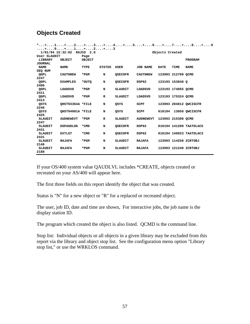# **Objects Created**

|                |                            |        |               |                |                  |                 |                    | *+1+2+3+4+5+6+7+8+9     |
|----------------|----------------------------|--------|---------------|----------------|------------------|-----------------|--------------------|-------------------------|
| +0+1+2+3       |                            |        |               |                |                  |                 |                    |                         |
|                | 1/01/94 15:32:02 RAJCO 2.0 |        |               |                |                  | Objects Created |                    |                         |
| User SLAUDIT   |                            | Page   |               |                |                  |                 |                    |                         |
| LIBRARY        | OBJECT                     | OBJECT |               |                |                  |                 |                    | <b>PROGRAM</b>          |
| <b>JOURNAL</b> |                            |        |               |                |                  |                 |                    |                         |
| <b>NAME</b>    | <b>NAME</b>                | TYPE   | <b>STATUS</b> | USER           | <b>JOB NAME</b>  | <b>DATE</b>     | TIME               | <b>NAME</b>             |
| SEQ NUM        |                            |        |               |                |                  |                 |                    |                         |
| QGPL           | <b>CAUTHNEW</b>            | $*PGM$ | N             | <b>QSECOFR</b> | <b>CAUTHNEW</b>  |                 | 123093 212709 QCMD |                         |
| 2247           |                            |        |               |                |                  |                 |                    |                         |
| OGPL           | <b>EXAMPLES</b>            | *OUTO  | N             | <b>QSECOFR</b> | DSP02            |                 | 123193 153848 0    |                         |
| 2406           |                            |        |               |                |                  |                 |                    |                         |
| QGPL           | LOADSVD                    | $*PGM$ | N             | SLAUDIT        | <b>LOADSVD</b>   |                 | 123193 174055 QCMD |                         |
| 2411           |                            |        |               |                |                  |                 |                    |                         |
| QGPL           | LOADSVD                    | *PGM   | R             | SLAUDIT        | <b>LOADSVD</b>   |                 | 123193 175324 QCMD |                         |
| 2413           |                            |        |               |                |                  |                 |                    |                         |
| QSYS           | OHST93364A *FILE           |        | N             | OSYS           | SCPF             |                 |                    | 123093 204812 QWCISCFR  |
| 2246           |                            |        |               |                |                  |                 |                    |                         |
| QSYS           | QHST94001A *FILE           |        | N             | OSYS           | SCPF             |                 |                    | 010194 13058 QWCISCFR   |
| 2425           |                            |        |               |                |                  |                 |                    |                         |
| SLAUDIT        | <b>AUDNEWEVT</b>           | *PGM   | R             | SLAUDIT        | <b>AUDNEWEVT</b> |                 | 123093 215308 QCMD |                         |
| 2247           |                            |        |               |                |                  |                 |                    |                         |
| SLAUDIT        | <b>DSPAUDLOG</b>           | *CMD   | N             | <b>OSECOFR</b> | DSP02            |                 |                    | 010194 141209 TAATOLAC5 |
| 2431           |                            |        |               |                |                  |                 |                    |                         |
| SLAUDIT        | <b>EXTLST</b>              | *CMD   | N             | <b>OSECOFR</b> | DSP02            |                 |                    | 010194 140923 TAATOLAC3 |
| 2431           |                            |        |               |                |                  |                 |                    |                         |
| SLAUDIT        | <b>RAJAFA</b>              | $*PGM$ | N             | SLAUDIT        | <b>RAJAFA</b>    |                 |                    | 123093 114250 ZCRTOBJ   |
| 2146           |                            |        |               |                |                  |                 |                    |                         |
| SLAUDIT        | <b>RAJAFA</b>              | *PGM   | N             | SLAUDIT        | <b>RAJAFA</b>    |                 |                    | 123093 121240 ZCRTOBJ   |
| 2188           |                            |        |               |                |                  |                 |                    |                         |

If your OS/400 system value QAUDLVL includes \*CREATE, objects created or recreated on your AS/400 will appear here.

The first three fields on this report identify the object that was created.

Status is "N" for a new object or "R" for a replaced or recreated object.

The user, job ID, date and time are shown, For interactive jobs, the job name is the display station ID.

The program which created the object is also listed. QCMD is the command line.

Stop list: Individual objects or all objects in a given library may be excluded from this report via the library and object stop list. See the configuration menu option "Library stop list," or use the WRKLOS command.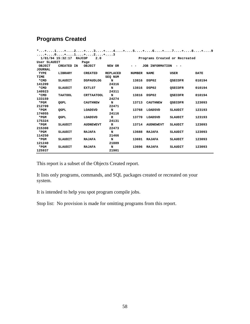# **Programs Created**

|                  |                   |                   |                 |               |                  | *+1+2+3+4+5+6+7+8+9           |             |
|------------------|-------------------|-------------------|-----------------|---------------|------------------|-------------------------------|-------------|
|                  | . + 0 + 1 + 2 + 3 |                   |                 |               |                  |                               |             |
| 1/01/94 15:32:17 | <b>RAJCOP</b>     | 2.0               |                 |               |                  | Programs Created or Recreated |             |
| User SLAUDIT     |                   | Page              |                 |               |                  |                               |             |
| <b>OBJECT</b>    | <b>CREATED IN</b> | OBJECT            | NEW OR          |               | JOB INFORMATION  |                               |             |
| <b>JOURNAL</b>   |                   |                   |                 |               |                  |                               |             |
| TYPE             | LIBRARY           | <b>CREATED</b>    | <b>REPLACED</b> | <b>NUMBER</b> | <b>NAME</b>      | USER                          | <b>DATE</b> |
| TIME             |                   |                   | SEQ NUM         |               |                  |                               |             |
| *CMD             | <b>SLAUDIT</b>    | <b>DSPAUDLOG</b>  | N               | 13816         | DSP02            | <b>QSECOFR</b>                | 010194      |
| 141209           |                   |                   | 24316           |               |                  |                               |             |
| *CMD             | SLAUDIT           | <b>EXTLST</b>     | N               | 13816         | DSP02            | <b>OSECOFR</b>                | 010194      |
| 140923           |                   |                   | 24311           |               |                  |                               |             |
| *CMD             | <b>TAATOOL</b>    | <b>CRTTAATOOL</b> | N               | 13816         | DSP02            | <b>OSECOFR</b>                | 010194      |
| 133159           |                   |                   | 24274           |               |                  |                               |             |
| $*PGM$           | <b>OGPL</b>       | <b>CAUTIINEW</b>  | N               | 13713         | <b>CAUTHNEW</b>  | <b>OSECOFR</b>                | 123093      |
| 212709           |                   |                   | 22471           |               |                  |                               |             |
| *PGM             | <b>QGPL</b>       | LOADSVD           | N               | 13768         | <b>LOADSVD</b>   | <b>SLAUDIT</b>                | 123193      |
| 174055           |                   |                   | 24116           |               |                  |                               |             |
| $*PGM$           | <b>QGPL</b>       | LOADSVD           | R               | 13770         | LOADSVD          | <b>SLAUDIT</b>                | 123193      |
| 175324           |                   |                   | 24131           |               |                  |                               |             |
| *PGM             | SLAUDIT           | <b>AUDNEWEVT</b>  | $\mathbf R$     | 13714         | <b>AUDNEWEVT</b> | <b>SLAUDIT</b>                | 123093      |
| 215308           |                   |                   | 22473           |               |                  |                               |             |
| $*_{\rm PGM}$    | SLAUDIT           | <b>RAJAFA</b>     | N               | 13688         | <b>RAJAFA</b>    | SLAUDIT                       | 123093      |
| 114250           |                   |                   | 21466           |               |                  |                               |             |
| *PGM             | SLAUDIT           | <b>RAJAFA</b>     | N               | 13691         | <b>RAJAFA</b>    | <b>SLAUDIT</b>                | 123093      |
| 121240           |                   |                   | 21889           |               |                  |                               |             |
| *PGM             | SLAUDIT           | <b>RAJAFA</b>     | N               | 13696         | <b>RAJAFA</b>    | <b>SLAUDIT</b>                | 123093      |
| 125937           |                   |                   | 21901           |               |                  |                               |             |

This report is a subset of the Objects Created report.

It lists only programs, commands, and SQL packages created or recreated on your system.

It is intended to help you spot program compile jobs.

Stop list: No provision is made for omitting programs from this report.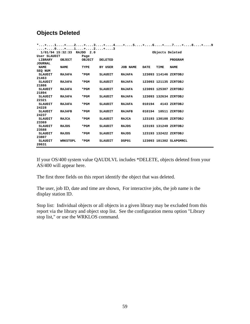# **Objects Deleted**

|                |                            |               |                |                 |             |      | *+1+2+3+4+5+6+7+8+9     |
|----------------|----------------------------|---------------|----------------|-----------------|-------------|------|-------------------------|
|                | . + 0 + 1 + 2 + 3          |               |                |                 |             |      |                         |
|                | 1/01/94 15:32:33 RAJDO 2.0 |               |                |                 |             |      | Objects Deleted         |
| User SLAUDIT   |                            | Page          |                |                 |             |      |                         |
| LIBRARY        | <b>OBJECT</b>              | <b>OBJECT</b> | <b>DELETED</b> |                 |             |      | PROGRAM                 |
| <b>JOURNAL</b> |                            |               |                |                 |             |      |                         |
| <b>NAME</b>    | <b>NAME</b>                | TYPE          | BY USER        | <b>JOB NAME</b> | <b>DATE</b> | TIME | <b>NAME</b>             |
| SEQ NUM        |                            |               |                |                 |             |      |                         |
| SLAUDIT        | <b>RAJAFA</b>              | *PGM          | SLAUDIT        | <b>RAJAFA</b>   |             |      | 123093 114146 ZCRTOBJ   |
| 21463          |                            |               |                |                 |             |      |                         |
| SLAUDIT        | <b>RAJAFA</b>              | $*PGM$        | <b>SLAUDIT</b> | <b>RAJAFA</b>   |             |      | 123093 121135 ZCRTOBJ   |
| 21886          |                            |               |                |                 |             |      |                         |
| SLAUDIT        | <b>RAJAFA</b>              | *PGM          | <b>SLAUDIT</b> | RAJAFA          |             |      | 123093 125307 ZCRTOBJ   |
| 21894          |                            |               |                |                 |             |      |                         |
| SLAUDIT        | <b>RAJAFA</b>              | *PGM          | <b>SLAUDIT</b> | <b>RAJAFA</b>   |             |      | 123093 132634 ZCRTOBJ   |
| 22321          |                            |               |                |                 |             |      |                         |
| SLAUDIT        | <b>RAJAFA</b>              | *PGM          | SLAUDIT        | <b>RAJAFA</b>   | 010194      |      | 4143 ZCRTOBJ            |
| 24228          |                            |               |                |                 |             |      |                         |
| SLAUDIT        | <b>RAJAFB</b>              | $*PGM$        | SLAUDIT        | <b>RAJAFB</b>   | 010194      |      | 10511 ZCRTOBJ           |
| 24237          |                            |               |                |                 |             |      |                         |
| SLAUDIT        | <b>RAJCA</b>               | *PGM          | <b>SLAUDIT</b> | RAJCA           |             |      | 123193 130108 ZCRTOBJ   |
| 23369          |                            |               |                |                 |             |      |                         |
| SLAUDIT        | <b>RAJDS</b>               | *PGM          | <b>SLAUDIT</b> | RAJDS           |             |      | 123193 131249 ZCRTOBJ   |
| 23588          |                            |               |                |                 |             |      |                         |
| SLAUDIT        | <b>RAJDS</b>               | *PGM          | SLAUDIT        | RAJDS           |             |      | 123193 132422 ZCRTOBJ   |
| 23807          |                            |               |                |                 |             |      |                         |
| SLAUDIT        | <b>WRKSTOPL</b>            | *PGM          | <b>SLAUDIT</b> | DSP01           |             |      | 123093 101302 SLAPGMRCL |
| 20631          |                            |               |                |                 |             |      |                         |

If your OS/400 system value QAUDLVL includes \*DELETE, objects deleted from your AS/400 will appear here.

The first three fields on this report identify the object that was deleted.

The user, job ID, date and time are shown, For interactive jobs, the job name is the display station ID.

Stop list: Individual objects or all objects in a given library may be excluded from this report via the library and object stop list. See the configuration menu option "Library stop list," or use the WRKLOS command.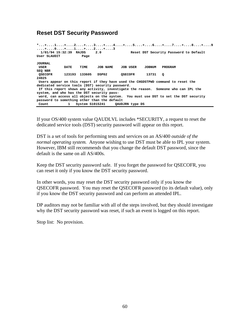## **Reset DST Security Password**

**\*...+....1....+....2....+....3....+....4....+....5....+....6....+....7....+....8....+....9 ....+....0....+....1....+....2....+....3 1/01/94 15:32:39 RAJDS 2.0 Reset DST Security Password to Default User SLAUDIT Page JOURNAL**  DATE TIME JOB NAME JOB USER JOBNUM PROGRAM **SEQ NBR QSECOFR 123193 133605 DSP02 QSECOFR 13731 Q 24025 Users appear on this report if they have used the CHGDSTPWD command to reset the dedicated service tools (DST) security password. If this report shows any activity, investigate the reason. Someone who can IPL the system, and who has the DST security pass word, can access all objects on the system. You must use DST to set the DST security password to something other than the default Count 1 System S1015241 QAUDJRN type DS** 

If your OS/400 system value QAUDLVL includes \*SECURITY, a request to reset the dedicated service tools (DST) security password will appear on this report.

DST is a set of tools for performing tests and services on an AS/400 *outside of the normal operating system.* Anyone wishing to use DST must be able to IPL your system. However, IBM still recommends that you change the default DST password, since the default is the same on all AS/400s.

Keep the DST security password safe. If you forget the password for QSECOFR, you can reset it only if you know the DST security password.

In other words, you may reset the DST security password only if you know the QSECOFR password. You may reset the QSECOFR password (to its default value), only if you know the DST security password and can perform an attended IPL.

DP auditors may not be familiar with all of the steps involved, but they should investigate why the DST security password was reset, if such an event is logged on this report.

Stop list: No provision.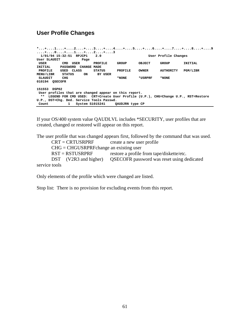## **User Profile Changes**

**\*...+....1....+....2....+....3....+....4....+....5....+....6....+....7....+....8....+....9 ....+....0....+....1....+....2....+....3 1/01/94 15:32:51 RPJCP1 2.0 User Profile Changes User SLAUDIT Page USER CMD USER PROFILE GROUP OBJECT GROUP INITIAL INITIAL PASSWORD CHANGE MADE PROFILE USED CLASS STATUS PROFILE OWNER AUTHORITY PGM/LIBR MENU/LIBR STATUS ON BY USER**  \*NONE \*USRPRF \*NONE **010194 QSECOFR 151553 DSP02 User profiles that are changed appear on this report. \*\* LEGEND FOR CMD USED: CRT=Create User Profile (U.P.), CHG=Change U.P., RST=Restore U.P., DST=Chg. Ded. Service Tools Passwd. Count 1 System S1015241 QAUDJRN type CP** 

If your OS/400 system value QAUDLVL includes \*SECURITY, user profiles that are created, changed or restored will appear on this report.

The user profile that was changed appears first, followed by the command that was used.  $CRT = **CRTUSRPRF**$  create a new user profile  $CHG = CHGUSRPRF$ change an existing user  $RST = RSTUSRPRF$  restore a profile from tape/diskette/etc. DST (V2R3 and higher) QSECOFR password was reset using dedicated service tools

Only elements of the profile which were changed are listed.

Stop list: There is no provision for excluding events from this report.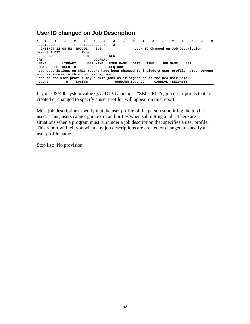## **User ID changed on Job Description**

| *+1+2+3+4+5+6+7+8+9<br>$\dots$ +0+1+2+3 |     |         |                                                                               |                |            |           |                 |      |                   |                                                                                          |  |
|-----------------------------------------|-----|---------|-------------------------------------------------------------------------------|----------------|------------|-----------|-----------------|------|-------------------|------------------------------------------------------------------------------------------|--|
| 2/11/94 12:08:52 RPJJD1                 |     |         |                                                                               | 2.0            |            |           |                 |      |                   | User ID Changed on Job Description                                                       |  |
| User SLAUDIT                            |     |         | Page                                                                          |                |            |           |                 |      |                   |                                                                                          |  |
| JOB DESC                                |     |         | <b>OLD</b>                                                                    |                | <b>NEW</b> |           |                 |      |                   |                                                                                          |  |
| CRT                                     |     |         |                                                                               | <b>JOURNAL</b> |            |           |                 |      |                   |                                                                                          |  |
| <b>NAME</b>                             |     | LIBRARY |                                                                               | USER NAME      |            | USER NAME | DATE            | TIME | JOB NAME          | USER                                                                                     |  |
| <b>JOBNBR</b>                           | CHG | USER ID |                                                                               |                | SEO NBR    |           |                 |      |                   |                                                                                          |  |
|                                         |     |         |                                                                               |                |            |           |                 |      |                   | Job descriptions on this report have been changed to include a user profile name. Anyone |  |
| who has access to this job description  |     |         |                                                                               |                |            |           |                 |      |                   |                                                                                          |  |
|                                         |     |         | and to the user profile may submit jobs as if signed on as the new user name. |                |            |           |                 |      |                   |                                                                                          |  |
| Count                                   |     | 0       | System                                                                        |                |            |           | OAUDJRN type JD |      | OAUDLVL *SECURITY |                                                                                          |  |

If your OS/400 system value QAUDLVL includes \*SECURITY, job descriptions that are created or changed to specify a user profile will appear on this report.

Most job descriptions specify that the user profile of the person submitting the job be used. Thus, users cannot gain extra authorities when submitting a job. There are situations when a program must run under a job description that specifies a user profile. This report will tell you when any job descriptions are created or changed to specify a user profile name.

Stop list: No provision.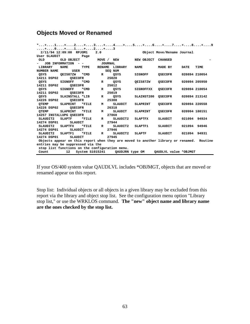# **Objects Moved or Renamed**

|                                   |                                                |          |                |                | *+1+2+3+4+5+6+7+8+9                                                                      |                            |             |               |
|-----------------------------------|------------------------------------------------|----------|----------------|----------------|------------------------------------------------------------------------------------------|----------------------------|-------------|---------------|
| . + 0 + 1 + 2 + 3                 |                                                |          |                |                |                                                                                          |                            |             |               |
|                                   | 2/11/94 12:09:00 RPJOM1                        |          | 2.0            |                |                                                                                          | Object Move/Rename Journal |             |               |
| User SLAUDIT                      |                                                | Page     |                |                |                                                                                          |                            |             |               |
| <b>OLD</b>                        | OLD OBJECT                                     |          | MOVE / NEW     |                | NEW OBJECT                                                                               | <b>CHANGED</b>             |             |               |
|                                   | JOB INFORMATION<br>$ -$                        |          | <b>JOURNAL</b> |                |                                                                                          |                            |             |               |
| LIBRARY                           | <b>NAME</b>                                    | TYPE     | <b>RENAME</b>  | <b>LIBRARY</b> | <b>NAME</b>                                                                              | MADE BY                    | <b>DATE</b> | TIME          |
| NUMBER NAME                       | USER                                           |          |                | SEQ NUM        |                                                                                          |                            |             |               |
| OSYS                              | QEIS87ZW                                       | *CMD     | R              | OSYS           | <b>SIGNOFF</b>                                                                           | <b>QSECOFR</b>             |             | 020894 210054 |
| 14211 DSP02                       | <b>OSECOFR</b>                                 |          |                | 25020          |                                                                                          |                            |             |               |
| QSYS                              | SIGNOFF                                        | *CMD     | R              | QSYS           | QEIS87ZW                                                                                 | <b>QSECOFR</b>             |             | 020894 205950 |
| 14211 DSP02                       | <b>OSECOFR</b>                                 |          |                | 25012          |                                                                                          |                            |             |               |
| OSYS                              | <b>SIGNOFF</b>                                 | *CMD     | R              | QSYS           | SIGNOFFXX                                                                                | <b>QSECOFR</b>             |             | 020894 210054 |
| 14211 DSP02                       | <b>OSECOFR</b>                                 |          |                | 25019          |                                                                                          |                            |             |               |
| QSYS                              | SLAINSTALL *LIB                                |          | R              | QSYS           | SLAINST200                                                                               | <b>QSECOFR</b>             |             | 020894 213142 |
| 14226 DSP02                       | <b>OSECOFR</b>                                 |          |                | 25308          |                                                                                          |                            |             |               |
| OTEMP                             | SLAPRINT                                       | *FILE    | М              | SLAUDIT        | SLAPRINT                                                                                 | <b>QSECOFR</b>             |             | 020894 220558 |
| 14226 DSP02                       | <b>OSECOFR</b>                                 |          |                | 26318          |                                                                                          |                            |             |               |
| <b>QTEMP</b>                      | <b>SLAPRINT</b>                                | $*$ FILE | М              | SLAUDIT        | <b>SLAPRINT</b>                                                                          | <b>QSECOFR</b>             |             | 020994 180151 |
| 14257 INSTALLUPG OSECOFR          |                                                |          |                | 27860          |                                                                                          |                            |             |               |
| SLAUDIT2                          | <b>SLAPTF</b>                                  | *FILE    | R              | SLAUDIT2       | <b>SLAPTFX</b>                                                                           | <b>SLAUDIT</b>             |             | 021094 94924  |
| 14274 DSP01                       | <b>SLAUDIT</b>                                 |          |                | 27944          |                                                                                          |                            |             |               |
| SLAUDIT2                          | SLAPTFX                                        | *FILE    | $\mathbf{R}$   | SLAUDIT2       | SLAPTF1                                                                                  | SLAUDIT                    |             | 021094 94946  |
| 14274 DSP01                       | <b>SLAUDIT</b>                                 |          |                | 27946          |                                                                                          |                            |             |               |
| SLAUDIT2                          | SLAPTF1                                        | *FILE    | R              | SLAUDIT2       | <b>SLAPTF</b>                                                                            | SLAUDIT                    |             | 021094 94931  |
| 14274 DSP01                       | <b>SLAUDIT</b>                                 |          |                | 27945          |                                                                                          |                            |             |               |
|                                   |                                                |          |                |                | Objects appear on this report when they are moved to another library or renamed. Routine |                            |             |               |
| entries may be suppressed via the |                                                |          |                |                |                                                                                          |                            |             |               |
|                                   | stop list functions on the configuration menu. |          |                |                |                                                                                          |                            |             |               |
| Count                             |                                                |          |                |                | 12 System S1015241 QAUDJRN type OM                                                       | OAUDLVL value *OBJMGT      |             |               |

If your OS/400 system value QAUDLVL includes \*OBJMGT, objects that are moved or renamed appear on this report.

Stop list: Individual objects or all objects in a given library may be excluded from this report via the library and object stop list. See the configuration menu option "Library stop list," or use the WRKLOS command. **The "new" object name and library name are the ones checked by the stop list.**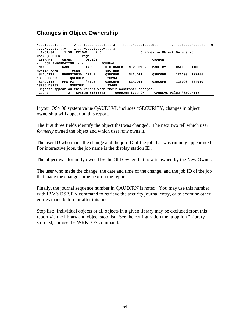# **Changes in Object Ownership**

| . + 0 + 1 + 2 + 3 |                   |                 | *+1+2+3+4+5+6+7+8+9                                         |                     |                             |        |        |
|-------------------|-------------------|-----------------|-------------------------------------------------------------|---------------------|-----------------------------|--------|--------|
| 1/01/94           | $1:58$ RPJOW1     | 2.0             |                                                             |                     | Changes in Object Ownership |        |        |
| User OSECOFR      |                   | Page            |                                                             |                     |                             |        |        |
| LIBRARY           | OBJECT            | OBJECT          |                                                             |                     | CIIANGE                     |        |        |
| JOB INFORMATION   | $ -$              |                 | <b>JOURNAL</b>                                              |                     |                             |        |        |
| <b>NAME</b>       | <b>NAME</b>       | TYPE            | OLD OWNER                                                   | <b>OWNER</b><br>NEW | MADE BY                     | DATE   | TIME   |
| NUMBER NAME       | <b>USER</b>       |                 | SEO NBR                                                     |                     |                             |        |        |
| SLAUDIT2          | <b>PFOHSTOBJD</b> | *FILE           | <b>OSECOFR</b>                                              | SLAUDIT             | <b>OSECOFR</b>              | 121193 | 122455 |
| 13553 DSP02       | <b>OSECOFR</b>    |                 | 20294                                                       |                     |                             |        |        |
| SLAUDIT2          | PFSTP2            | *FILE           | <b>OSECOFR</b>                                              | SLAUDIT             | <b>OSECOFR</b>              | 123093 | 204940 |
| 13705 DSP02       | <b>OSECOFR</b>    |                 | 22469                                                       |                     |                             |        |        |
|                   |                   |                 | Objects appear on this report when their ownership changes. |                     |                             |        |        |
| Count             | 2                 | System S1015241 |                                                             | OAUDJRN type OW     | OAUDLVL value *SECURITY     |        |        |

If your OS/400 system value QAUDLVL includes \*SECURITY, changes in object ownership will appear on this report.

The first three fields identify the object that was changed. The next two tell which user *formerly* owned the object and which user *now* owns it.

The user ID who made the change and the job ID of the job that was running appear next. For interactive jobs, the job name is the display station ID.

The object was formerly owned by the Old Owner, but now is owned by the New Owner.

The user who made the change, the date and time of the change, and the job ID of the job that made the change come next on the report.

Finally, the journal sequence number in QAUDJRN is noted. You may use this number with IBM's DSPJRN command to retrieve the security journal entry, or to examine other entries made before or after this one.

Stop list: Individual objects or all objects in a given library may be excluded from this report via the library and object stop list. See the configuration menu option "Library stop list," or use the WRKLOS command.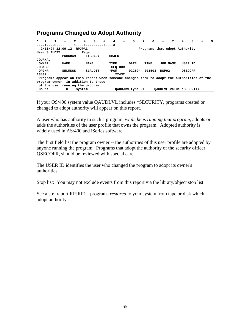# **Programs Changed to Adopt Authority**

|                                                                                          | 2/11/94 12:09:12 RPJPA1 |                |         |                 |        | Programs that Adopt Authority | *+1+2+3+4+5+6+7+8+9 |  |
|------------------------------------------------------------------------------------------|-------------------------|----------------|---------|-----------------|--------|-------------------------------|---------------------|--|
| User SLAUDIT                                                                             |                         | Page           |         |                 |        |                               |                     |  |
|                                                                                          | PROGRAM                 | LIBRARY        | OBJECT  |                 |        |                               |                     |  |
| JOURNAL                                                                                  |                         |                |         |                 |        |                               |                     |  |
| <b>OWNER</b>                                                                             | <b>NAME</b>             | <b>NAME</b>    | TYPE    | DATE            | TIME   | JOB NAME                      | USER ID             |  |
| <b>JOBNBR</b>                                                                            |                         |                | SEO NBR |                 |        |                               |                     |  |
| <b>OPGMR</b>                                                                             | SELMSGS                 | <b>SLAUDIT</b> | *PGM    | 022594          | 201503 | DSP02                         | <b>OSECOFR</b>      |  |
| 13402                                                                                    |                         |                | 22432   |                 |        |                               |                     |  |
| Programs appear on this report when someone changes them to adopt the authorities of the |                         |                |         |                 |        |                               |                     |  |
| program owner, in addition to those                                                      |                         |                |         |                 |        |                               |                     |  |
| of the user running the program.                                                         |                         |                |         |                 |        |                               |                     |  |
| Count                                                                                    | 0<br>System             |                |         | OAUDJRN type PA |        | OAUDLVL value *SECURITY       |                     |  |

If your OS/400 system value QAUDLVL includes \*SECURITY, programs created or changed to adopt authority will appear on this report.

A user who has authority to such a program, *while he is running that program,* adopts or adds the authorities of the user profile that owns the program. Adopted authority is widely used in AS/400 and iSeries software.

The first field list the program owner -- the authorities of this user profile are adopted by anyone running the program. Programs that adopt the authority of the security officer, QSECOFR, should be reviewed with special care.

The USER ID identifies the user who changed the program to adopt its owner's authorities.

Stop list: You may not exclude events from this report via the library/object stop list.

See also: report RPJRP1 - programs *restored* to your system from tape or disk which adopt authority.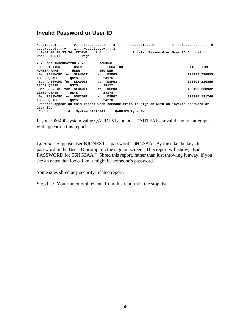# **Invalid Password or User ID**

| *+1+2+3+4+5+6+7+8+9<br>. + 0 + 1 + 2 + 3<br>1/01/94 15:33:34 RPJPW1<br>Invalid Password or User ID Journal<br>2.0 |                |                                                                                         |  |  |  |  |  |  |  |
|-------------------------------------------------------------------------------------------------------------------|----------------|-----------------------------------------------------------------------------------------|--|--|--|--|--|--|--|
| User SLAUDIT<br>Page                                                                                              |                |                                                                                         |  |  |  |  |  |  |  |
| JOB INFORMATION - -                                                                                               | <b>JOURNAL</b> |                                                                                         |  |  |  |  |  |  |  |
| DESCRIPTION<br>USER                                                                                               | LOCATION       | TIME<br>DATE                                                                            |  |  |  |  |  |  |  |
| NUMBER NAME<br>USER                                                                                               | SEQ NBR        |                                                                                         |  |  |  |  |  |  |  |
| Bad PASSWORD for SLAUDIT                                                                                          | at DSP03       | 123193 230853                                                                           |  |  |  |  |  |  |  |
| 13662 QBASE<br>QSYS                                                                                               | 24176          |                                                                                         |  |  |  |  |  |  |  |
| Bad PASSWORD for SLAUDIT                                                                                          | at DSP03       | 123193 230859                                                                           |  |  |  |  |  |  |  |
| 13662 QBASE<br>QSYS                                                                                               | 24177          |                                                                                         |  |  |  |  |  |  |  |
| Bad USER ID for SLUADIT                                                                                           | at DSP03       | 123193 230932                                                                           |  |  |  |  |  |  |  |
| 13662 QBASE<br>QSYS                                                                                               | 24178          |                                                                                         |  |  |  |  |  |  |  |
| Bad PASSWORD for OSECOFR                                                                                          | at DSP02       | 010194 131746                                                                           |  |  |  |  |  |  |  |
| 13662 QBASE<br>QSYS                                                                                               | 24270          |                                                                                         |  |  |  |  |  |  |  |
|                                                                                                                   |                | Records appear on this report when someone tries to sign on with an invalid password or |  |  |  |  |  |  |  |
| user ID.                                                                                                          |                |                                                                                         |  |  |  |  |  |  |  |
| System S1015241<br>Count<br>4                                                                                     |                | QAUDJRN type PW                                                                         |  |  |  |  |  |  |  |

If your OS/400 system value QAUDLVL includes \*AUTFAIL, invalid sign on attempts will appear on this report.

*Caution:* Suppose user BJONES has password T6HG3AA. By mistake, he keys his password in the User ID prompt on the sign on screen. This report will show, "Bad PASSWORD for T6HG3AA." Shred this report, rather than just throwing it away, if you see an entry that looks like it might be someone's password.

Some sites shred any security-related report.

Stop list: You cannot omit events from this report via the stop list.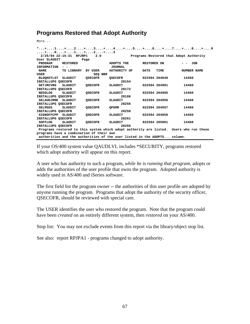## **Programs Restored that Adopt Authority**

More...

|                                                                                        |                             |                |                     |             |               | *+1+2+3+4+5+6+7+8+9                    |  |  |  |  |
|----------------------------------------------------------------------------------------|-----------------------------|----------------|---------------------|-------------|---------------|----------------------------------------|--|--|--|--|
| . + 0 + 1 + 2 + 3                                                                      |                             |                |                     |             |               |                                        |  |  |  |  |
|                                                                                        | 2/25/94 22:15:31 RPJRP1 2.0 |                |                     |             |               | Programs Restored that Adopt Authority |  |  |  |  |
| User SLAUDIT                                                                           |                             | Page           |                     |             |               |                                        |  |  |  |  |
| PROGRAM                                                                                | RESTORED                    |                | ADOPTS THE          | RESTORED ON |               | - лов                                  |  |  |  |  |
| INFORMATION - -                                                                        |                             |                | <b>JOURNAL</b>      |             |               |                                        |  |  |  |  |
| <b>NAME</b>                                                                            | TO LIBRARY BY USER          |                | <b>AUTHORITY OF</b> | DATE        | TIME          | NUMBER NAME                            |  |  |  |  |
| USER                                                                                   |                             | SEQ NBR        |                     |             |               |                                        |  |  |  |  |
| BLDOHSTLST SLAUDIT                                                                     |                             | OSECOFR        | OSECOFR             |             | 022594 204848 | 14460                                  |  |  |  |  |
| INSTALLUPG OSECOFR                                                                     |                             |                | 28154               |             |               |                                        |  |  |  |  |
| GETJRCVRG                                                                              | SLAUDIT                     | OSECOFR        | SLAUDIT             |             | 022594 204901 | 14460                                  |  |  |  |  |
|                                                                                        | 28172<br>INSTALLUPG OSECOFR |                |                     |             |               |                                        |  |  |  |  |
| <b>NEEDLOG</b>                                                                         | SLAUDIT                     | <b>QSECOFR</b> | SLAUDIT             |             | 022594 204905 | 14460                                  |  |  |  |  |
| INSTALLUPG OSECOFR                                                                     |                             |                | 28180               |             |               |                                        |  |  |  |  |
| SELAUDJRNE SLAUDIT                                                                     |                             | OSECOFR        | SLAUDIT             |             | 022594 204956 | 14460                                  |  |  |  |  |
| INSTALLUPG OSECOFR                                                                     |                             |                | 28256               |             |               |                                        |  |  |  |  |
| SELMSGS                                                                                | SLAUDIT                     | OSECOFR        | <b>OPGMR</b>        |             | 022594 204957 | 14460                                  |  |  |  |  |
| INSTALLUPG OSECOFR                                                                     |                             |                | 28258               |             |               |                                        |  |  |  |  |
| SIGNOFFCPP SLAUDIT                                                                     |                             | OSECOFR        | SLAUDIT             |             | 022594 204958 | 14460                                  |  |  |  |  |
| 28261<br>INSTALLUPG OSECOFR                                                            |                             |                |                     |             |               |                                        |  |  |  |  |
| SOFFLOG                                                                                | SLAUDIT                     | OSECOFR        | SLAUDIT             |             | 022594 205001 | 14460                                  |  |  |  |  |
| 28266<br>INSTALLUPG OSECOFR                                                            |                             |                |                     |             |               |                                        |  |  |  |  |
| Programs restored to this system which adopt authority are listed. Users who run these |                             |                |                     |             |               |                                        |  |  |  |  |
| programs have a combination of their own                                               |                             |                |                     |             |               |                                        |  |  |  |  |
| authorities and the authorities of the user listed in the ADOPTS column.               |                             |                |                     |             |               |                                        |  |  |  |  |

If your OS/400 system value QAUDLVL includes \*SECURITY, programs restored which adopt authority will appear on this report.

A user who has authority to such a program, *while he is running that program,* adopts or adds the authorities of the user profile that owns the program. Adopted authority is widely used in AS/400 and iSeries software.

The first field list the program owner -- the authorities of this user profile are adopted by anyone running the program. Programs that adopt the authority of the security officer, QSECOFR, should be reviewed with special care.

The USER identifies the user who restored the program. Note that the program could have been *created* on an entirely different system, then *restored* on your AS/400.

Stop list: You may not exclude events from this report via the library/object stop list.

See also: report RPJPA1 - programs changed to adopt authority.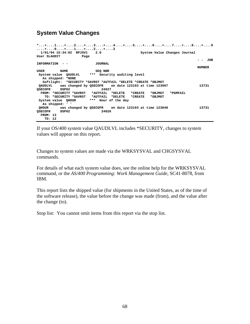## **System Value Changes**

```
*...+....1....+....2....+....3....+....4....+....5....+....6....+....7....+....8....+....9
....+....0....+....1....+....2....+....3 
 1/01/94 15:34:02 RPJSV1 2.0 System Value Changes Journal 
           User SLAUDIG Page
 - - JOB 
INFORMATION - - JOURNAL 
 NUMBER 
USER NAME SEQ NBR
 System value QAUDLVL *** Security auditing level 
  As shipped: *NONE 
  Softlight: *SECURITY *SAVRST *AUTFAIL *DELETE *CREATE *OBJMGT 
 QAUDLVL was changed by QSECOFR on date 123193 at time 123907 13731 
QSECOFR DSP02 24027 
 FROM: *SECURITY *SAVRST *AUTFAIL *DELETE *CREATE *OBJMGT *PGMFAIL 
 TO: *SECURITY *SAVRST *AUTFAIL *DELETE *CREATE *OBJMGT 
 System value QHOUR *** Hour of the day 
  As shipped: ' ' 
 QHOUR was changed by QSECOFR on date 123193 at time 123848 13731 
OSECOFR DSP02
  FROM: 13 
   TO: 12
```
If your OS/400 system value QAUDLVL includes \*SECURITY, changes to system values will appear on this report.

Changes to system values are made via the WRKSYSVAL and CHGSYSVAL commands.

For details of what each system value does, see the online help for the WRKSYSVAL command, or the *AS/400 Programming: Work Management Guide*, SC41-8078, from IBM.

This report lists the shipped value (for shipments in the United States, as of the time of the software release), the value before the change was made (from), and the value after the change (to).

Stop list: You cannot omit items from this report via the stop list.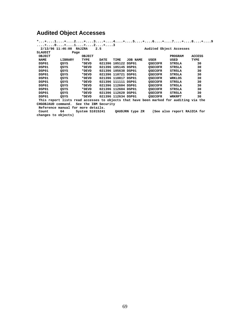# **Audited Object Accesses**

|                                                                                       |                                    |                                 |      |                     |          |                         |                             | *+1+2+3+4+5+6+7+8+9 |
|---------------------------------------------------------------------------------------|------------------------------------|---------------------------------|------|---------------------|----------|-------------------------|-----------------------------|---------------------|
|                                                                                       | . + 0 + 1 + 2 + 3                  |                                 |      |                     |          |                         |                             |                     |
|                                                                                       | 2/13/96 11:46:00 RAJZRA            |                                 | 2.5  |                     |          | Audited Object Accesses |                             |                     |
| <b>SLAUDIT</b>                                                                        | Page                               |                                 |      |                     |          |                         |                             |                     |
| <b>OBJECT</b>                                                                         |                                    | OBJECT                          |      |                     |          |                         | PROGRAM                     | <b>ACCESS</b>       |
| <b>NAME</b>                                                                           | LIBRARY                            | TYPE                            | DATE | TIME                | JOB NAME | USER                    | USED                        | TYPE                |
| DSP01                                                                                 | QSYS                               | *DEVD                           |      | 021396 105122 DSP01 |          | <b>QSECOFR</b>          | STRSLA                      | 30                  |
| DSP01                                                                                 | QSYS                               | *DEVD                           |      | 021396 105145 DSP01 |          | <b>QSECOFR</b>          | STRSLA                      | 30                  |
| DSP01                                                                                 | QSYS                               | *DEVD                           |      | 021396 105638 DSP01 |          | <b>QSECOFR</b>          | STRSLA                      | 30                  |
| DSP01                                                                                 | QSYS                               | *DEVD                           |      | 021396 110721 DSP01 |          | <b>QSECOFR</b>          | STRSLA                      | 30                  |
| DSP01                                                                                 | QSYS                               | *DEVD                           |      | 021396 110817 DSP01 |          | <b>QSECOFR</b>          | WRKLOS                      | 30                  |
| DSP01                                                                                 | QSYS                               | *DEVD                           |      | 021396 111111 DSP01 |          | <b>QSECOFR</b>          | STRSLA                      | 30                  |
| DSP01                                                                                 | QSYS                               | *DEVD                           |      | 021396 112604 DSP01 |          | <b>QSECOFR</b>          | STRSLA                      | 30                  |
| DSP01                                                                                 | QSYS                               | *DEVD                           |      | 021396 112604 DSP01 |          | <b>QSECOFR</b>          | STRSLA                      | 30                  |
| DSP01                                                                                 | OSYS                               | *DEVD                           |      | 021396 112620 DSP01 |          | <b>QSECOFR</b>          | STRSLA                      | 30                  |
| DSP01                                                                                 | OSYS                               | *DEVD                           |      | 021396 112634 DSP01 |          | <b>QSECOFR</b>          | WRKRPT                      | 30                  |
| This report lists read accesses to objects that have been marked for auditing via the |                                    |                                 |      |                     |          |                         |                             |                     |
| CHGOBJAUD command.                                                                    |                                    | See the IBM Security            |      |                     |          |                         |                             |                     |
|                                                                                       | Reference manual for more details. |                                 |      |                     |          |                         |                             |                     |
| Count                                                                                 | 64                                 | System S1015241 QAUDJRN type ZR |      |                     |          |                         | (See also report RAJZCA for |                     |
|                                                                                       | changes to objects)                |                                 |      |                     |          |                         |                             |                     |
|                                                                                       |                                    |                                 |      |                     |          |                         |                             |                     |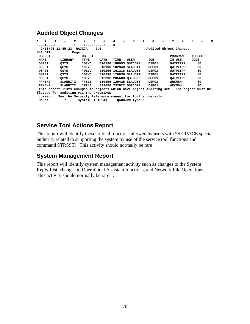# **Audited Object Changes**

|             |                                                                 |                 |      |      |                       |       | *+1+2+3+4+5+6+7+8+9                                                                     |               |
|-------------|-----------------------------------------------------------------|-----------------|------|------|-----------------------|-------|-----------------------------------------------------------------------------------------|---------------|
|             | . + 0 + 1 + 2 + 3                                               |                 |      |      |                       |       |                                                                                         |               |
|             | 2/13/96 11:45:23 RAJZCA                                         |                 | 2.5  |      |                       |       | Audited Object Changes                                                                  |               |
| SLAUDIT     | Page                                                            |                 |      |      |                       |       |                                                                                         |               |
| OBJECT      |                                                                 | OBJECT          |      |      |                       |       | <b>PROGRAM</b>                                                                          | <b>ACCESS</b> |
| <b>NAME</b> | LIBRARY                                                         | TYPE            | DATE | TIME | USER                  | JOB   | IN USE                                                                                  | CODE          |
| DSP01       | OSYS                                                            | *DEVD           |      |      | 010196 180953 OSECOFR | DSP01 | OWTPIIPP                                                                                | 50            |
| DSP01       | OSYS                                                            | *DEVD           |      |      | 010196 182948 SLAUDIT | DSP01 | OWTPIIPP                                                                                | 50            |
| DSP01       | OSYS                                                            | *DEVD           |      |      | 010296 161218 SLAUDIT | DSP01 | OWTPIIPP                                                                                | 50            |
| DSP01       | OSYS                                                            | *DEVD           |      |      | 010396 120036 SLAUDIT | DSP01 | OWTPIIPP                                                                                | 50            |
| DSP01       | OSYS                                                            | *DEVD           |      |      | 012396 205600 OSECOFR | DSP01 | OWTPIIPP                                                                                | 50            |
| PFNBH2      | SLAUDIT2                                                        | *FILE           |      |      | 010396 120425 SLAUDIT | DSP01 | <b>WRKNBH</b>                                                                           | 30            |
| PFNBH2      | SLAUDIT2                                                        | *FILE           |      |      | 012696 232022 OSECOFR | DSP01 | WRKNBH                                                                                  | 30            |
|             |                                                                 |                 |      |      |                       |       | This report lists changes to objects which have object auditing set. The object must be |               |
|             | flagged for auditing via the CHGOBJAUD                          |                 |      |      |                       |       |                                                                                         |               |
|             | command. See the Security Reference manual for further details. |                 |      |      |                       |       |                                                                                         |               |
| Count       | 7                                                               | System S1015241 |      |      | QAUDJRN type ZC       |       |                                                                                         |               |

# **Service Tool Actions Report**

This report will identify those critical functions allowed by users with \*SERVICE special authority related to supporting the system by use of the service tool functions and command STRSST. This activity should normally be rare

## **System Management Report**

This report will identify system management activity such as changes to the System Reply List, changes to Operational Assistant functions, and Network File Operations. This activity should normally be rare. .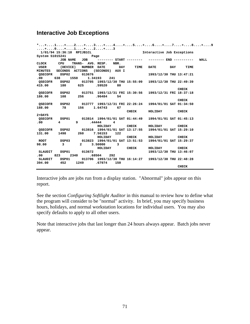## **Interactive Job Exceptions**

|           |               | *+1+2+3+4+5+6+7+8+9                                                     |                             |              |                            |     |              |  |
|-----------|---------------|-------------------------------------------------------------------------|-----------------------------|--------------|----------------------------|-----|--------------|--|
|           |               |                                                                         |                             |              |                            |     |              |  |
|           |               |                                                                         |                             |              | Interactive Job Exceptions |     |              |  |
|           |               | System S1015241 Page                                                    |                             |              |                            |     |              |  |
|           |               |                                                                         |                             |              |                            |     |              |  |
|           |               | CLOCK CPU TRANS- AVG. RESP. NBR.                                        |                             |              |                            |     |              |  |
|           |               | USER (DEVICE) NUMBER DATE DAY                                           |                             | TIME         | <b>DATE</b>                | DAY | TIME         |  |
|           |               | MINUTES SECONDS ACTIONS (SECONDS) AUXI                                  |                             |              |                            |     |              |  |
|           | QSECOFR DSP02 | 013676                                                                  |                             |              | 1993/12/30 THU 13:47:21    |     |              |  |
| .00       |               | 638 1550 1.34193 241                                                    |                             |              |                            |     |              |  |
|           |               | QSECOFR DSP02 013705 1993/12/30 THU 15:55:09 1993/12/30 THU 22:49:39    |                             |              |                            |     |              |  |
|           |               | 415.00 180 625 .59520 80                                                |                             |              |                            |     |              |  |
|           |               |                                                                         |                             |              |                            |     | <b>CHECK</b> |  |
|           |               | QSECOFR DSP02 013751 1993/12/31 FRI 15:30:56 1993/12/31 FRI 18:37:18    |                             |              |                            |     |              |  |
|           |               | 186.00 108 256 .96484 54                                                |                             |              |                            |     |              |  |
|           |               |                                                                         |                             |              |                            |     | <b>CHECK</b> |  |
|           |               | QSECOFR DSP02  013777  1993/12/31 FRI 22:26:24  1994/01/01 SAT 01:34:50 |                             |              |                            |     |              |  |
|           | 188.00 78     |                                                                         | 156 1.64743 67              |              |                            |     |              |  |
|           |               |                                                                         |                             | <b>CHECK</b> | HOLIDAY CHECK              |     |              |  |
| $2+$ DAYS |               |                                                                         |                             |              |                            |     |              |  |
|           |               | QSECOFR DSP01 013814 1994/01/01 SAT 01:44:49 1994/01/01 SAT 01:45:13    |                             |              |                            |     |              |  |
| .00       |               | $4 \qquad \qquad 9$                                                     | $.44444$ $4$                |              |                            |     |              |  |
|           |               |                                                                         | HOLIDAY CHECK HOLIDAY CHECK |              |                            |     |              |  |
|           |               | QSECOFR DSP02 013816 1994/01/01 SAT 13:17:55 1994/01/01 SAT 15:29:10    |                             |              |                            |     |              |  |
|           | 131.00 1498   |                                                                         | 260 7.56153 122             |              |                            |     |              |  |
|           |               |                                                                         | HOLIDAY CHECK HOLIDAY CHECK |              |                            |     |              |  |
|           |               | ROOT DSP03 013823 1994/01/01 SAT 13:51:53 1994/01/01 SAT 15:29:37       |                             |              |                            |     |              |  |
| 98.00     |               | 3 2 3.50000 3                                                           |                             |              |                            |     |              |  |
|           |               |                                                                         | HOLIDAY CHECK               |              | HOLIDAY CHECK              |     |              |  |
|           |               | SLAUDIT DSP01 013672                                                    |                             |              | 1993/12/30 THU 13:46:07    |     |              |  |
| .00       |               | 823 2340 .68504 292                                                     |                             |              |                            |     |              |  |
|           |               | SLAUDIT DSP01 013706 1993/12/30 THU 16:14:27 1993/12/30 THU 22:48:28    |                             |              |                            |     |              |  |
|           |               | 394.00 452 1249 .67974 150                                              |                             |              |                            |     |              |  |
|           |               |                                                                         |                             |              |                            |     | <b>CHECK</b> |  |

Interactive jobs are jobs run from a display station. "Abnormal" jobs appear on this report.

See the section *Configuring Softlight Auditor* in this manual to review how to define what the program will consider to be "normal" activity. In brief, you may specify business hours, holidays, and normal workstation locations for individual users. You may also specify defaults to apply to all other users.

Note that interactive jobs that last longer than 24 hours always appear. Batch jobs never appear.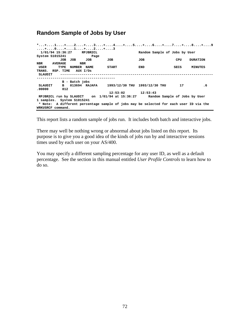## **Random Sample of Jobs by User**

|         |                            |         |                |            | +0+1+2+3 |  |                                                                                        |      | *+1+2+3+4+5+6+7+8+9 |
|---------|----------------------------|---------|----------------|------------|----------|--|----------------------------------------------------------------------------------------|------|---------------------|
|         | 1/01/94 15:36:27 RPJBR2CL  |         |                |            |          |  | Random Sample of Jobs by User                                                          |      |                     |
|         | System S1015241            |         |                | Page       |          |  |                                                                                        |      |                     |
|         |                            | JOB JOB |                | <b>JOB</b> | JOB      |  | JOB                                                                                    | CPU  | <b>DURATION</b>     |
|         | NBR AVERAGE                |         | NBR            |            |          |  |                                                                                        |      |                     |
| USER    | <b>TYPE</b>                |         | NUMBER NAME    |            | START    |  | END.                                                                                   | SECS | MINUTES             |
|         | TRANS. RSP. TIME AUX I/Os  |         |                |            |          |  |                                                                                        |      |                     |
| SLAUDIT |                            |         |                |            |          |  |                                                                                        |      |                     |
|         | ------------------         |         |                |            |          |  |                                                                                        |      |                     |
|         |                            |         | B - Batch jobs |            |          |  |                                                                                        |      |                     |
| SLAUDIT | $\overline{B}$             |         |                |            |          |  |                                                                                        | 17   | $\cdot$ 6           |
| .00000  |                            | 812     |                |            |          |  |                                                                                        |      |                     |
|         |                            |         |                |            |          |  | $12:53:02$ $12:53:43$                                                                  |      |                     |
|         |                            |         |                |            |          |  | RPJBR2CL run by SLAUDIT con 1/01/94 at 15:36:27 andom Sample of Jobs by User           |      |                     |
|         | 1 samples. System S1015241 |         |                |            |          |  |                                                                                        |      |                     |
|         |                            |         |                |            |          |  | * Note: A different percentage sample of jobs may be selected for each user ID via the |      |                     |
|         | WRKUSRCF command.          |         |                |            |          |  |                                                                                        |      |                     |

This report lists a random sample of jobs run. It includes both batch and interactive jobs.

There may well be nothing wrong or abnormal about jobs listed on this report. Its purpose is to give you a good idea of the kinds of jobs run by and interactive sessions times used by each user on your AS/400.

You may specify a different sampling percentage for any user ID, as well as a default percentage. See the section in this manual entitled *User Profile Controls* to learn how to do so.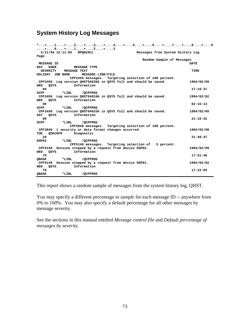## **System History Log Messages**

| *+1+2+3+4+5+6+7+8+9                                               |                                  |  |
|-------------------------------------------------------------------|----------------------------------|--|
| +0+1+2+3                                                          |                                  |  |
| 2/11/94 12:11:05 RPOH2ACL                                         | Messages from System History Log |  |
| Page                                                              |                                  |  |
|                                                                   | Random Sample of Messages        |  |
| MESSAGE ID                                                        | <b>DATE</b>                      |  |
| <b>USER</b><br>DAY<br><b>MESSAGE TYPE</b>                         |                                  |  |
| <b>SEVERITY</b><br><b>MESSAGE TEXT</b>                            | TIME                             |  |
| MESSAGE LIBR/FILE<br>HOLIDAY JOB NAME                             |                                  |  |
| CPF2456 messages. Targeting selection of 100 percent.             |                                  |  |
| CPF2456 Log version QHST94036A in QSYS full and should be saved.  | 1994/02/09                       |  |
| Information<br>OSYS<br>WED                                        |                                  |  |
| 00                                                                | 17:19:37                         |  |
| SCPF<br>*LIBL<br>/QCPFMSG                                         |                                  |  |
| CPF2456 Log version QHST94010A in QSYS full and should be saved.  | 1994/02/02                       |  |
| Information<br>WED<br>QSYS                                        |                                  |  |
| 00                                                                | 02:15:13                         |  |
| *LIBL<br>/OCPFMSG<br>SCPF                                         |                                  |  |
| CPF2456 Log version QHST94033A in QSYS full and should be saved.  | 1994/02/05                       |  |
| Information<br>QSYS<br>SAT                                        |                                  |  |
| 00                                                                | 21:33:42                         |  |
| *LIBL<br>SCPF<br>/OCPFMSG                                         |                                  |  |
| CPF3848 messages. Targeting selection of 100 percent.             |                                  |  |
| CPF3848 1 security or data format changes occurred.               | 1994/02/08                       |  |
| <b>QSECOFR</b><br>Diagnostic<br>TUE                               |                                  |  |
| 20                                                                | 21:48:47                         |  |
| DSP02<br>/OCPFMSG<br>*LIBL                                        |                                  |  |
| CPF5140 messages. Targeting selection of                          | 5 percent.                       |  |
| Session stopped by a request from device DSP02.<br><b>CPF5140</b> | 1994/02/09                       |  |
| Information<br>QSYS<br>WED                                        |                                  |  |
| 70                                                                | 17:51:46                         |  |
| /OCPFMSG<br>OBASE<br>*LIBL                                        |                                  |  |
| CPF5140 Session stopped by a request from device DSP01.           | 1994/02/02                       |  |
| Information<br>WED<br>QSYS                                        |                                  |  |
| 70                                                                | 17:22:05                         |  |
| <b>OBASE</b><br>/OCPFMSG<br>*LIBL                                 |                                  |  |

This report shows a random sample of messages from the system history log, QHST.

You may specify a different percentage to sample for each message ID -- anywhere from 0% to 100%. You may also specify a default percentage for all other messages by message severity.

See the sections in this manual entitled *Message control file* and *Default percentage of messages by severity.*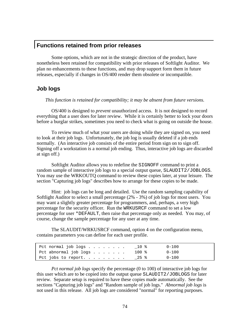## **Functions retained from prior releases**

 Some options, which are not in the strategic direction of the product, have nonetheless been retained for compatibility with prior releases of Softlight Auditor. We plan no enhancements to these functions, and may drop support form them in future releases, especially if changes in OS/400 render them obsolete or incompatible.

## **Job logs**

*This function is retained for compatibility; it may be absent from future versions.* 

 OS/400 is designed to *prevent* unauthorized access. It is not designed to record everything that a user does for later review. While it is certainly better to lock your doors before a burglar strikes, sometimes you need to check what is going on outside the house.

 To review much of what your users are doing while they are signed on, you need to look at their job logs. Unfortunately, the job log is usually deleted if a job ends normally. (An interactive job consists of the entire period from sign on to sign off. Signing off a workstation is a normal job ending. Thus, interactive job logs are discarded at sign off.)

 Softlight Auditor allows you to redefine the SIGNOFF command to print a random sample of interactive job logs to a special output queue, SLAUDIT2/JOBLOGS. You may use the WRKOUTQ command to review these copies later, at your leisure. The section "Capturing job logs" describes how to arrange for these copies to be made.

 Hint: job logs can be long and detailed. Use the random sampling capability of Softlight Auditor to select a small percentage (2% - 3%) of job logs for most users. You may want a slightly greater percentage for programmers, and, perhaps, a very high percentage for the security officer. Run the WRKUSRCF command to set a low percentage for user \*DEFAULT, then raise that percentage only as needed. You may, of course, change the sample percentage for any user at any time.

 The SLAUDIT/WRKUSRCF command, option 4 on the configuration menu, contains parameters you can define for each user profile.

| Pct normal job logs $\ldots$ |  |  |  | _ 10 % | $0 - 100$ |
|------------------------------|--|--|--|--------|-----------|
| Pct abnormal job logs        |  |  |  | 100 %  | $0 - 100$ |
| Pct jobs to report. $-25$ %  |  |  |  |        | $0 - 100$ |

*Pct normal job logs* specify the percentage (0 to 100) of interactive job logs for this user which are to be copied into the output queue SLAUDIT2/JOBLOGS for later review. Separate setup is required to have these copies made automatically. See the sections "Capturing job logs" and "Random sample of job logs." *Abnormal job logs* is not used in this release. All job logs are considered "normal" for reporting purposes.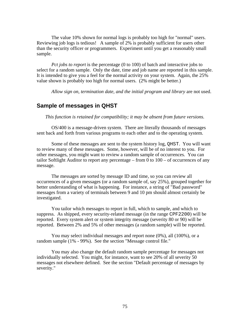The value 10% shown for normal logs is probably too high for "normal" users. Reviewing job logs is tedious! A sample of 2% is probably sufficient for users other than the security officer or programmers. Experiment until you get a reasonably small sample.

*Pct jobs to report* is the percentage (0 to 100) of batch and interactive jobs to select for a random sample. Only the date, time and job name are reported in this sample. It is intended to give you a feel for the normal activity on your system. Again, the 25% value shown is probably too high for normal users. (2% might be better.)

*Allow sign on, termination date, and the initial program and library* are not used.

### **Sample of messages in QHST**

*This function is retained for compatibility; it may be absent from future versions.* 

 OS/400 is a message-driven system. There are literally thousands of messages sent back and forth from various programs to each other and to the operating system.

 Some of these messages are sent to the system history log, QHST. You will want to review many of these messages. Some, however, will be of no interest to you. For other messages, you might want to review a random sample of occurrences. You can tailor Softlight Auditor to report any percentage – from 0 to 100 – of occurrences of any message.

 The messages are sorted by message ID and time, so you can review all occurrences of a given messages (or a random sample of, say 25%), grouped together for better understanding of what is happening. For instance, a string of "Bad password" messages from a variety of terminals between 9 and 10 pm should almost certainly be investigated.

 You tailor which messages to report in full, which to sample, and which to suppress. As shipped, every security-related message (in the range CPF2200) will be reported. Every system alert or system integrity message (severity 80 or 90) will be reported. Between 2% and 5% of other messages (a random sample) will be reported.

You may select individual messages and report none  $(0\%)$ , all  $(100\%)$ , or a random sample (1% - 99%). See the section "Message control file."

 You may also change the default random sample percentage for messages not individually selected. You might, for instance, want to see 20% of all severity 50 messages not elsewhere defined. See the section "Default percentage of messages by severity."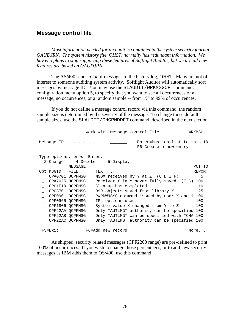## **Message control file**

*Most information needed for an audit is contained in the system security journal, QAUDJRN. The system history file, QHST, normally has redundant information. We hav eno plans to stop supporting these features of Softlight Auditor, but we are all new features are based on QAUDJRN.* 

 The AS/400 sends *a lot* of messages to the history log, QHST. Many are not of interest to someone auditing system activity. Softlight Auditor will automatically sort messages by message ID. You may use the SLAUDIT/WRKMSGCF command, configuration menu option 5, to specify that you want to see all occurrences of a message, no occurrences, or a random sample -- from 1% to 99% of occurrences.

 If you do not define a message control record via this command, the random sample size is determined by the severity of the message. To change those default sample sizes, use the SLAUDIT/CHGRNDDFT command, described in the next section.

| Work with Message Control File            | WRKMSG 1                                               |
|-------------------------------------------|--------------------------------------------------------|
| Message ID.                               | Enter=Postion list to this ID<br>F6=Create a new entry |
| Type options, press Enter.                |                                                        |
| 2=Change 4=Delete 5=Display               |                                                        |
| MESSAGE                                   | PCT TO                                                 |
| Opt MSGID FILE<br>TEXT                    | REPORT                                                 |
| CPA0701 OCPFMSG                           | 5<br>MSGX received by Y at Z. $(C D I R)$              |
| CPA7025 QCPFMSG                           | Receiver X in Y never fully saved. (I C) 100           |
| CPC1E1D OCPFMSG<br>Cleanup has completed. | 10                                                     |
| CPC3701 QCPFMSG                           | 25<br>999 objects saved from library X.                |
| CPF0901 OCPFMSG                           | PWRDWNSYS command issued by user X and i 100           |
| CPF0965 OCPFMSG<br>IPL options used.      | 100                                                    |
| CPF1806 OCPFMSG                           | 100<br>System value X changed from Y to Z.             |
| CPF22AA OCPFMSG                           | Only *AUTLMGT authority can be specified 100           |
| CPF22AB OCPFMSG                           | Only *AUTLMGT can be specified with *CHA 100           |
| CPF22AC OCPFMSG                           | Only *AUTLMGT authority can be specified 100           |
| $F3 = EXit$<br>F6=Add new record          | More                                                   |

 As shipped, security related messages (CPF2200 range) are pre-defined to print 100% of occurrences. If you wish to change those percentages, or to add new security messages as IBM adds them to OS/400, use this command.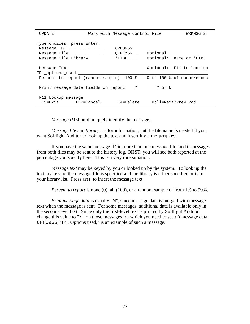| <b>TIPDATE</b>                                                                               | Work with Message Control File          | WRKMSG 2                 |
|----------------------------------------------------------------------------------------------|-----------------------------------------|--------------------------|
| Type choices, press Enter.<br>Message ID. $\cdots$<br>Message File.<br>Message File Library. | CPF0965<br>OCPFMSG Optional<br>$*$ LIBL | Optional: name or *LIBL  |
| Message Text<br>IPL options used.                                                            |                                         | Optional: F11 to look up |
| Percent to report (random sample) 100 % 0 to 100 % of occurrences                            |                                         |                          |
| Print message data fields on report Y Y Y Or N                                               |                                         |                          |
| F11=Lookup message<br>F3=Exit F12=Cancel                                                     | F4=Delete                               | Roll=Next/Prev rcd       |

*Message ID* should uniquely identify the message.

*Message file* and *library* are for information, but the file name is needed if you want Softlight Auditor to look up the text and insert it via the **[F11]** key.

 If you have the same message ID in more than one message file, and if messages from both files may be sent to the history log, QHST, you will see both reported at the percentage you specify here. This is a very rare situation.

*Message text* may be keyed by you or looked up by the system. To look up the text, make sure the message file is specified and the library is either specified or is in your library list. Press **[F11]** to insert the message text.

*Percent to report* is none (0), all (100), or a random sample of from 1% to 99%.

*Print message data* is usually "N", since message data is merged with message text when the message is sent. For some messages, additional data is available only in the second-level text. Since only the first-level text is printed by Softlight Auditor, change this value to "Y" on those messages for which you need to see *all* message data. CPF0965, "IPL Options used," is an example of such a message.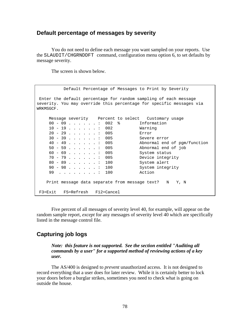## **Default percentage of messages by severity**

 You do not need to define each message you want sampled on your reports. Use the SLAUDIT/CHGRNDDFT command, configuration menu option 6, to set defaults by message severity.

The screen is shown below.

 Default Percentage of Messages to Print by Severity Enter the default percentage for random sampling of each message severity. You may override this percentage for specific messages via WRKMSGCF. Message severity Percent to select Customary usage 00 - 09 . . . . . . : 002 % Information 10 - 19 . . . . . . : 002 Warning 20 - 29 . . . . . . : 005 Error 30 - 39 . . . . . . : 005 Severe error 40 - 49 . . . . . . : 005 Abnormal end of pgm/function 50 - 59 . . . . . . : 005 Abnormal end of job 60 - 69 . . . . . . : 005 System status 70 - 79 . . . . . . : 005 Device integrity 80 - 89 . . . . . . : 100 System alert 90 - 98 . . . . . . : 100 System integrity 99 . . . . . . . . 100 Action Print message data separate from message text? N Y, N F3=Exit F5=Refresh F12=Cancel

 Five percent of all messages of severity level 40, for example, will appear on the random sample report, *except* for any messages of severity level 40 which are specifically listed in the message control file.

## **Capturing job logs**

*Note: this feature is not supported. See the section entitled "Auditing all commands by a user" for a supported method of reviewing actions of a key user.*

 The AS/400 is designed to *prevent* unauthorized access. It is not designed to record everything that a user does for later review. While it is certainly better to lock your doors before a burglar strikes, sometimes you need to check what is going on outside the house.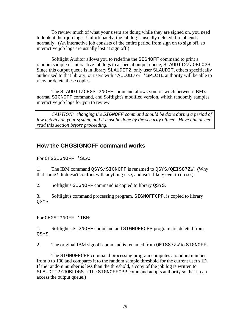To review much of what your users are doing while they are signed on, you need to look at their job logs. Unfortunately, the job log is usually deleted if a job ends normally. (An interactive job consists of the entire period from sign on to sign off, so interactive job logs are usually lost at sign off.)

 Softlight Auditor allows you to redefine the SIGNOFF command to print a random sample of interactive job logs to a special output queue, SLAUDIT2/JOBLOGS. Since this output queue is in library SLAUDIT2, only user SLAUDIT, others specifically authorized to that library, or users with \*ALLOBJ or \*SPLCTL authority will be able to view or delete these copies.

 The SLAUDIT/CHGSIGNOFF command allows you to switch between IBM's normal SIGNOFF command, and Softlight's modified version, which randomly samples interactive job logs for you to review.

*CAUTION: changing the SIGNOFF command should be done during a period of low activity on your system, and it must be done by the security officer. Have him or her read this section before proceeding.*

## **How the CHGSIGNOFF command works**

For CHGSIGNOFF \*SLA:

1. The IBM command QSYS/SIGNOFF is renamed to QSYS/QEIS87ZW. (Why that name? It doesn't conflict with anything else, and isn't likely ever to do so.)

2. Softlight's SIGNOFF command is copied to library QSYS.

3. Softlight's command processing program, SIGNOFFCPP, is copied to library QSYS.

For CHGSIGNOFF \*IBM:

1. Softlight's SIGNOFF command and SIGNOFFCPP program are deleted from QSYS.

2. The original IBM signoff command is renamed from QEIS87ZW to SIGNOFF.

 The SIGNOFFCPP command processing program computes a random number from 0 to 100 and compares it to the random sample threshold for the current user's ID. If the random number is less than the threshold, a copy of the job log is written to SLAUDIT2/JOBLOGS. (The SIGNOFFCPP command adopts authority so that it can access the output queue.)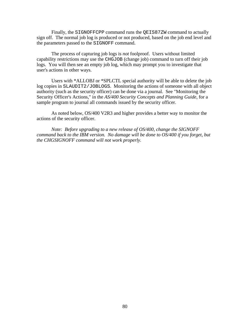Finally, the SIGNOFFCPP command runs the QEIS87ZW command to actually sign off. The normal job log is produced or not produced, based on the job end level and the parameters passed to the SIGNOFF command.

 The process of capturing job logs is *not* foolproof. Users without limited capability restrictions may use the CHGJOB (change job) command to turn off their job logs. You will then see an empty job log, which may prompt you to investigate that user's actions in other ways.

 Users with \*ALLOBJ or \*SPLCTL special authority will be able to delete the job log copies in SLAUDIT2/JOBLOGS. Monitoring the actions of someone with all object authority (such as the security officer) can be done via a journal. See "Monitoring the Security Officer's Actions," in the *AS/400 Security Concepts and Planning Guide*, for a sample program to journal all commands issued by the security officer.

 As noted below, OS/400 V2R3 and higher provides a better way to monitor the actions of the security officer.

 *Note: Before upgrading to a new release of OS/400, change the SIGNOFF command back to the IBM version. No damage will be done to OS/400 if you forget, but the CHGSIGNOFF command will not work properly.*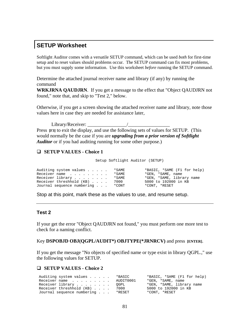## **SETUP Worksheet**

Softlight Auditor comes with a versatile SETUP command, which can be used *both* for first-time setup and to reset values should problems occur. The SETUP command can fix most problems, but you must supply some information. Use this worksheet *before* running the SETUP command.

Determine the attached journal receiver name and library (if any) by running the command

**WRKJRNA QAUDJRN**. If you get a message to the effect that "Object QAUDJRN not found," note that, and skip to "Test 2," below.

Otherwise, if you get a screen showing the attached receiver name and library, note those values here in case they are needed for assistance later,

Library/Receiver: \_\_\_\_\_\_\_\_\_\_\_\_\_\_\_\_/\_\_\_\_\_\_\_\_\_\_\_\_\_\_\_\_\_ Press **[F3]** to exit the display, and use the following sets of values for SETUP. (This would normally be the case if you are *upgrading from a prior version of Softlight Auditor* or if you had auditing running for some other purpose.)

### **SETUP VALUES - Choice 1**

Setup Softlight Auditor (SETUP)

| Auditing system values *SAME     |  | *BASIC, *SAME (F1 for help) |
|----------------------------------|--|-----------------------------|
| Receiver name *SAME              |  | *GEN, *SAME, name           |
| Receiver library *SAME           |  | *GEN, *SAME, library name   |
| Receiver threshhold (KB) 7000    |  | 5000 to 192000 in KB        |
| Journal sequence numbering *CONT |  | *CONT, *RESET               |

Stop at this point, mark these as the values to use, and resume setup.

### **Test 2**

If your get the error "Object QAUDJRN not found," you must perform one more test to check for a naming conflict.

Key **DSPOBJD OBJ(QGPL/AUDIT\*) OBJTYPE(\*JRNRCV)** and press **[ENTER]**.

If you get the message "No objects of specified name or type exist in library QGPL.," use the following values for SETUP.

#### **SETUP VALUES - Choice 2**

| Auditing system values *BASIC     | *BASIC, *SAME (F1 for help) |
|-----------------------------------|-----------------------------|
| Receiver name AUDIT0001           | *GEN, *SAME, name           |
| Receiver library QGPL             | *GEN, *SAME, library name   |
| Receiver threshhold (KB) 7000     | 5000 to 192000 in KB        |
| Journal sequence numbering *RESET | *CONT, *RESET               |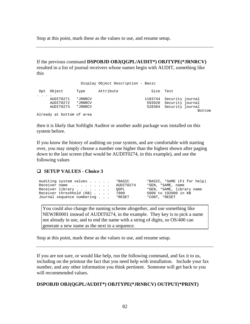Stop at this point, mark these as the values to use, and resume setup.

If the previous command **DSPOBJD OBJ(QGPL/AUDIT\*) OBJTYPE(\*JRNRCV)** resulted in a list of journal receivers whose names begin with AUDIT, something like this

|                                     |                               | Display Object Description - Basic |                   |                                                                 |        |
|-------------------------------------|-------------------------------|------------------------------------|-------------------|-----------------------------------------------------------------|--------|
| Opt Object                          | Type                          | Attribute                          | Size Text         |                                                                 |        |
| AUDIT0271<br>AUDIT0272<br>AUDIT0273 | *JRNRCV<br>*JRNRCV<br>*JRNRCV |                                    | 1183744<br>528384 | Security journal<br>593920 Security journal<br>Security journal | Bottom |
| Already at bottom of area           |                               |                                    |                   |                                                                 |        |

then it is likely that Softlight Auditor or another audit package was installed on this system before.

If you know the history of auditing on your system, and are comfortable with starting over, you may simply choose a number one higher than the highest shown after paging down to the last screen (that would be AUDIT0274, in this example), and use the following values

### **SETUP VALUES - Choice 3**

Auditing system values . . . . . \*BASIC \*BASIC, \*SAME (F1 for help) Receiver name . . . . . . . . AUDIT0274 \*GEN, \*SAME, name Receiver library . . . . . . . . QGPL \*GEN, \*SAME, library name Receiver threshhold (KB) . . . . 7000 5000 to 192000 in KB Journal sequence numbering . . . \*RESET \*CONT, \*RESET

You could also change the naming scheme altogether, and use something like NEWJR0001 instead of AUDIT0274, in the example. They key is to pick a name not already in use, and to end the name with a string of digits, so OS/400 can generate a new name as the next in a sequence.

Stop at this point, mark these as the values to use, and resume setup.

If you are not sure, or would like help, run the following command, and fax it to us, including on the printout the fact that you need help with installation. Include your fax number, and any other information you think pertinent. Someone will get back to you will recommended values.

#### **DSPOBJD OBJ(QGPL/AUDIT\*) OBJTYPE(\*JRNRCV) OUTPUT(\*PRINT)**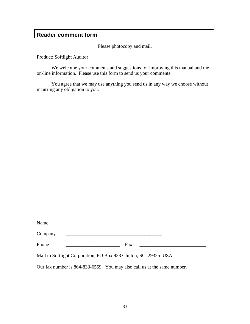# **Reader comment form**

Please photocopy and mail.

Product: Softlight Auditor

 We welcome your comments and suggestions for improving this manual and the on-line information. Please use this form to send us your comments.

 You agree that we may use anything you send us in any way we choose without incurring any obligation to you.

| Name    |     |  |  |
|---------|-----|--|--|
| Company |     |  |  |
| Phone   | Fax |  |  |

Mail to Softlight Corporation, PO Box 923 Clinton, SC 29325 USA

Our fax number is 864-833-6559. You may also call us at the same number.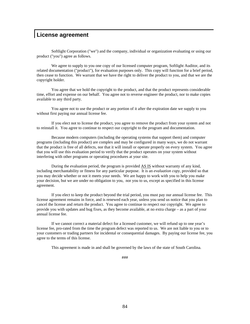## **License agreement**

Softlight Corporation ("we") and the company, individual or organization evaluating or using our product ("you") agree as follows.

We agree to supply to you one copy of our licensed computer program, Softlight Auditor, and its related documentation ("product"), for evaluation purposes only. This copy will function for a brief period, then cease to function. We warrant that we have the right to deliver the product to you, and that we are the copyright holder.

 You agree that we hold the copyright to the product, and that the product represents considerable time, effort and expense on our behalf. You agree not to reverse engineer the product, nor to make copies available to any third party.

 You agree not to use the product or any portion of it after the expiration date we supply to you without first paying our annual license fee.

 If you elect not to license the product, you agree to remove the product from your system and not to reinstall it. You agree to continue to respect our copyright to the program and documentation.

 Because modern computers (including the operating systems that support them) and computer programs (including this product) are complex and may be configured in many ways, we do not warrant that the product is free of all defects, nor that it will install or operate properly on every system. You agree that you will use this evaluation period to verify that the product operates on your system without interfering with other programs or operating procedures at your site.

 During the evaluation period, the program is provided AS IS without warranty of any kind, including merchantability or fitness for any particular purpose. It is an *evaluation copy*, provided so that you may decide whether or not it meets your needs. We are happy to work with you to help you make your decision, but we are under no obligation to you, nor you to us, except as specified in this license agreement.

 If you elect to keep the product beyond the trial period, you must pay our annual license fee. This license agreement remains in force, and is renewed each year, unless you send us notice that you plan to cancel the license and return the product. You agree to continue to respect our copyright. We agree to provide you with updates and bug fixes, as they become available, at no extra charge – as a part of your annual license fee.

 If we cannot correct a material defect for a licensed customer, we will refund up to one year's license fee, pro-rated from the time the program defect was reported to us. We are not liable to you or to your customers or trading partners for incidental or consequential damages. By paying our license fee, you agree to the terms of this license.

This agreement is made in and shall be governed by the laws of the state of South Carolina.

###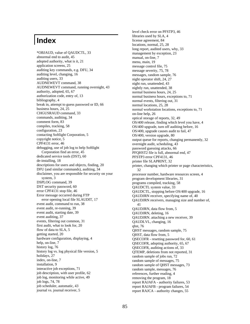# **Index**

\*OBJAUD, value of QAUDCTL, 33 abnormal end to audit, 45 adopted authority, what is it, 21 application screens, 25 auditing key commands, e.g. DFU, 34 auditing level, changing, 16 auditing users, 33 AUDNEWEVT command, 38 AUDNEWEVT command, running overnight, 43 authority, adopted, 65, 67 authorization code, entry of, 13 bibliography, 4 break in, attempt to guess password or ID, 66 business hours, 24, 25 CHGUSRAUD command, 33 commands, auditing, 34 comment form, 83 compiles, tracking, 58 configuration, 23 contacting Softlight Corporation, 5 copyright notice, 5 CPF4131 error, 46 debugging, use of job log to help Softlight Corporation find an error, 45 dedicated service tools (DST), 60 de-installing, 18 descriptions for users and objects, finding, 20 DFU (and similar commands), auditing, 34 disclaimer, you are responsible for security on your system, 3 DSPLOG command, 39 DST security password, 60 error CPF4131 stop file, 46 Error message occurred during FTP error opening local file SLAUDIT, 17 event audit, command to run, 38 event audit, re-running, 39 event audit, starting date, 39 event auditing, 37 events, filtering out common, 31 first audit, what to look for, 20 flow of data to SLA, 5 getting started, 20 hardware configuration, displaying, 4 help, on-line, 7 history log, 76 history log vs. log physical file version, 5 holidays, 27 index, on-line, 7 installation, 9 interactive job exceptions, 71 job description, with user profile, 62 job log, monitoring while active, 49 job logs, 74, 78 job scheduler, automatic, 43 journal vs. journal receiver, 5

level check error on PFSTP3, 46 libraries used by SLA, 4 license agreement, 84 locations, normal, 25, 28 long report, audited users, why, 33 management by exception, 23 manual, on-line, 7 menu, main, 19 message control file, 75 message severity, 75, 78 messages, random sample, 76 night operator shift, 24, 27 night run, unattended, 43 nightly run, unattended, 38 normal business hours, 24, 25 normal business hours, exceptions to, 71 normal events, filtering out, 31 normal locations, 25, 28 normal workstation locations, exceptions to, 71 on-line help, 26 optical storage of reports, 32, 49 OS/400 release, finding which level you have, 4 OS/400 upgrade, turn off auditing before, 16 OS/400, upgrade causes audit to fail, 47 OS/400, version upgrade, 80 output queue for reports, changing permanently, 32 overnight audit, scheduling, 43 password guessing attacks, 66 PFQHST2 file is full, abnormal end, 47 PFSTP3 error CPF4131, 46 printer file SLAPRINT, 32 printer, changing which printer or page characteristics, 32 processor number, hardware resources screen, 4 program development libraries, 31 programs compiled, tracking, 58 QAUDCTL system value, 33 QAUDCTL, stopping before OS/400 upgrade, 16 QAUDJRN receiver, specifying name of, 40 QAUDJRN receivers, managing size and number of, 41 QAUDJRN, data flow from, 5 QAUDJRN, deleting, 16 QAUDJRN. attaching a new receiver, 39 QAUDLVL, changing, 16 qhst, 76 QHST messages, random sample, 75 QHST, data flow from, 5 QSECOFR - resetting password for, 60, 61 QSECOFR, adopting authority, 65, 67 QSECOFR, auditing actions of, 33 QTEMP, deletions from not reported, 31 random sample of jobs run, 72 random sample of messages, 75 random sample of QHST messages, 73 random sample, messages, 76 references, further reading, 4 removing the program, 18 report RAJAFA - authority failures, 53 report RAJAFB - program failures, 54 report RAJCA - authority changes, 55